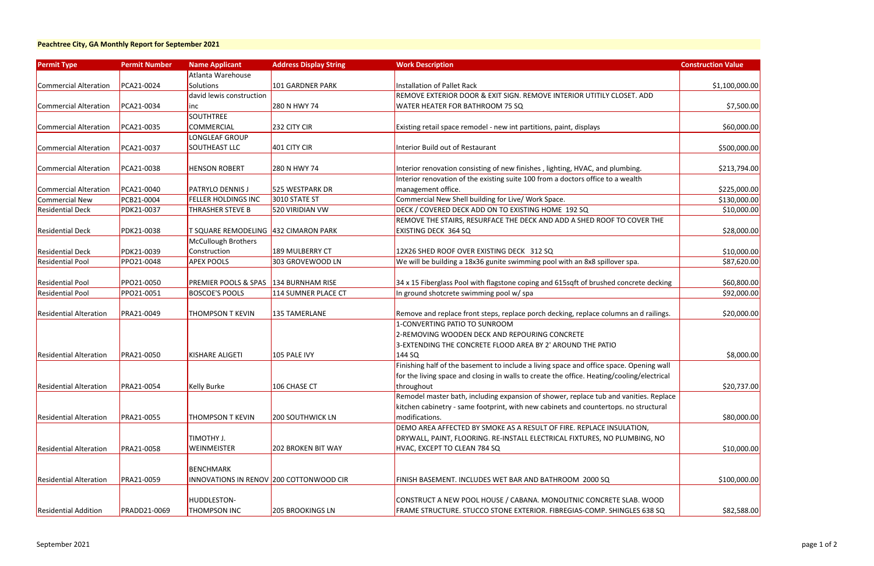#### **Peachtree City, GA Monthly Report for September 2021**

| <b>Permit Type</b>            | <b>Permit Number</b> | <b>Name Applicant</b>                   | <b>Address Display String</b> | <b>Work Description</b>                                                                    | <b>Construction Value</b> |
|-------------------------------|----------------------|-----------------------------------------|-------------------------------|--------------------------------------------------------------------------------------------|---------------------------|
|                               |                      | Atlanta Warehouse                       |                               |                                                                                            |                           |
| Commercial Alteration         | PCA21-0024           | Solutions                               | <b>101 GARDNER PARK</b>       | <b>Installation of Pallet Rack</b>                                                         | \$1,100,000.00            |
|                               |                      | david lewis construction                |                               | REMOVE EXTERIOR DOOR & EXIT SIGN. REMOVE INTERIOR UTITILY CLOSET. ADD                      |                           |
| Commercial Alteration         | PCA21-0034           | <b>INC</b>                              | 280 N HWY 74                  | WATER HEATER FOR BATHROOM 75 SQ                                                            | \$7,500.00                |
|                               |                      | <b>SOUTHTREE</b>                        |                               |                                                                                            |                           |
| Commercial Alteration         | PCA21-0035           | COMMERCIAL                              | 232 CITY CIR                  | Existing retail space remodel - new int partitions, paint, displays                        | \$60,000.00               |
|                               |                      | LONGLEAF GROUP                          |                               |                                                                                            |                           |
| Commercial Alteration         | PCA21-0037           | <b>SOUTHEAST LLC</b>                    | 401 CITY CIR                  | <b>Interior Build out of Restaurant</b>                                                    | \$500,000.00              |
|                               |                      |                                         |                               |                                                                                            |                           |
| Commercial Alteration         | PCA21-0038           | <b>HENSON ROBERT</b>                    | 280 N HWY 74                  | Interior renovation consisting of new finishes, lighting, HVAC, and plumbing.              | \$213,794.00              |
|                               |                      |                                         |                               | Interior renovation of the existing suite 100 from a doctors office to a wealth            |                           |
| Commercial Alteration         | PCA21-0040           | <b>PATRYLO DENNIS J</b>                 | 525 WESTPARK DR               | management office.                                                                         | \$225,000.00              |
| Commercial New                | PCB21-0004           | <b>FELLER HOLDINGS INC</b>              | 3010 STATE ST                 | Commercial New Shell building for Live/ Work Space.                                        | \$130,000.00              |
| <b>Residential Deck</b>       | PDK21-0037           | <b>THRASHER STEVE B</b>                 | 520 VIRIDIAN VW               | DECK / COVERED DECK ADD ON TO EXISTING HOME 192 SQ                                         | \$10,000.00               |
|                               |                      |                                         |                               | REMOVE THE STAIRS, RESURFACE THE DECK AND ADD A SHED ROOF TO COVER THE                     |                           |
| <b>Residential Deck</b>       | PDK21-0038           | T SQUARE REMODELING 432 CIMARON PARK    |                               | EXISTING DECK 364 SQ                                                                       | \$28,000.00               |
|                               |                      | <b>McCullough Brothers</b>              |                               |                                                                                            |                           |
| <b>Residential Deck</b>       | PDK21-0039           | Construction                            | 189 MULBERRY CT               | 12X26 SHED ROOF OVER EXISTING DECK 312 SQ                                                  | \$10,000.00               |
| <b>Residential Pool</b>       | PPO21-0048           | <b>APEX POOLS</b>                       | 303 GROVEWOOD LN              | We will be building a 18x36 gunite swimming pool with an 8x8 spillover spa.                | \$87,620.00               |
|                               |                      |                                         |                               |                                                                                            |                           |
| <b>Residential Pool</b>       | PPO21-0050           | PREMIER POOLS & SPAS 134 BURNHAM RISE   |                               | 34 x 15 Fiberglass Pool with flagstone coping and 615sqft of brushed concrete decking      | \$60,800.00               |
| <b>Residential Pool</b>       | PPO21-0051           | <b>BOSCOE'S POOLS</b>                   | 114 SUMNER PLACE CT           | In ground shotcrete swimming pool w/ spa                                                   | \$92,000.00               |
|                               |                      |                                         |                               |                                                                                            |                           |
| <b>Residential Alteration</b> | PRA21-0049           | <b>THOMPSON T KEVIN</b>                 | <b>135 TAMERLANE</b>          | Remove and replace front steps, replace porch decking, replace columns an d railings.      | \$20,000.00               |
|                               |                      |                                         |                               | 1-CONVERTING PATIO TO SUNROOM                                                              |                           |
|                               |                      |                                         |                               | 2-REMOVING WOODEN DECK AND REPOURING CONCRETE                                              |                           |
|                               |                      |                                         |                               | 3-EXTENDING THE CONCRETE FLOOD AREA BY 2' AROUND THE PATIO                                 |                           |
| <b>Residential Alteration</b> | PRA21-0050           | <b>KISHARE ALIGETI</b>                  | 105 PALE IVY                  | 144 SQ                                                                                     | \$8,000.00                |
|                               |                      |                                         |                               | Finishing half of the basement to include a living space and office space. Opening wall    |                           |
|                               |                      |                                         |                               | for the living space and closing in walls to create the office. Heating/cooling/electrical |                           |
| <b>Residential Alteration</b> | PRA21-0054           | <b>Kelly Burke</b>                      | 106 CHASE CT                  | throughout                                                                                 | \$20,737.00               |
|                               |                      |                                         |                               | Remodel master bath, including expansion of shower, replace tub and vanities. Replace      |                           |
|                               |                      |                                         |                               | kitchen cabinetry - same footprint, with new cabinets and countertops. no structural       |                           |
| <b>Residential Alteration</b> | <b>PRA21-0055</b>    | <b>THOMPSON T KEVIN</b>                 | <b>200 SOUTHWICK LN</b>       | modifications.                                                                             | \$80,000.00               |
|                               |                      |                                         |                               | DEMO AREA AFFECTED BY SMOKE AS A RESULT OF FIRE. REPLACE INSULATION,                       |                           |
|                               |                      | TIMOTHY J.                              |                               | DRYWALL, PAINT, FLOORING. RE-INSTALL ELECTRICAL FIXTURES, NO PLUMBING, NO                  |                           |
| <b>Residential Alteration</b> | PRA21-0058           | <b>WEINMEISTER</b>                      | <b>202 BROKEN BIT WAY</b>     | HVAC, EXCEPT TO CLEAN 784 SQ                                                               | \$10,000.00               |
|                               |                      |                                         |                               |                                                                                            |                           |
|                               |                      | <b>BENCHMARK</b>                        |                               |                                                                                            |                           |
| <b>Residential Alteration</b> | PRA21-0059           | INNOVATIONS IN RENOV 200 COTTONWOOD CIR |                               | FINISH BASEMENT. INCLUDES WET BAR AND BATHROOM 2000 SQ                                     | \$100,000.00              |
|                               |                      |                                         |                               |                                                                                            |                           |
|                               |                      | HUDDLESTON-                             |                               | CONSTRUCT A NEW POOL HOUSE / CABANA. MONOLITNIC CONCRETE SLAB. WOOD                        |                           |
| <b>Residential Addition</b>   | <b>PRADD21-0069</b>  | <b>THOMPSON INC</b>                     | <b>205 BROOKINGS LN</b>       | FRAME STRUCTURE. STUCCO STONE EXTERIOR. FIBREGIAS-COMP. SHINGLES 638 SQ                    | \$82,588.00               |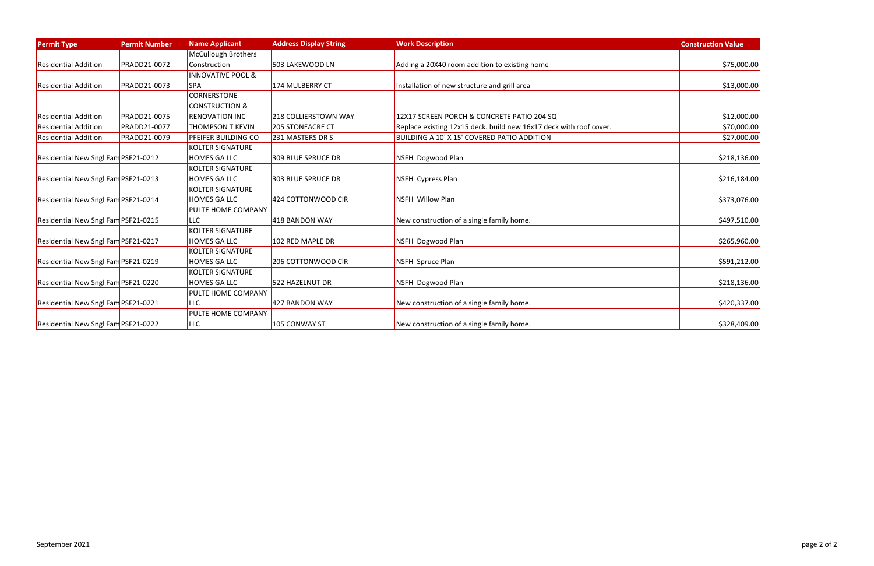| <b>Permit Type</b>                  | <b>Permit Number</b> | <b>Name Applicant</b>        | <b>Address Display String</b> | <b>Work Description</b>                                            | <b>Construction Value</b> |
|-------------------------------------|----------------------|------------------------------|-------------------------------|--------------------------------------------------------------------|---------------------------|
|                                     |                      | <b>McCullough Brothers</b>   |                               |                                                                    |                           |
| <b>Residential Addition</b>         | <b>PRADD21-0072</b>  | Construction                 | 503 LAKEWOOD LN               | Adding a 20X40 room addition to existing home                      | \$75,000.00               |
|                                     |                      | <b>INNOVATIVE POOL &amp;</b> |                               |                                                                    |                           |
| <b>Residential Addition</b>         | <b>PRADD21-0073</b>  | <b>SPA</b>                   | 174 MULBERRY CT               | Installation of new structure and grill area                       | \$13,000.00               |
|                                     |                      | CORNERSTONE                  |                               |                                                                    |                           |
|                                     |                      | <b>CONSTRUCTION &amp;</b>    |                               |                                                                    |                           |
| <b>Residential Addition</b>         | <b>PRADD21-0075</b>  | <b>RENOVATION INC</b>        | 218 COLLIERSTOWN WAY          | 12X17 SCREEN PORCH & CONCRETE PATIO 204 SQ                         | \$12,000.00               |
| <b>Residential Addition</b>         | <b>PRADD21-0077</b>  | <b>THOMPSON T KEVIN</b>      | 205 STONEACRE CT              | Replace existing 12x15 deck. build new 16x17 deck with roof cover. | \$70,000.00               |
| <b>Residential Addition</b>         | PRADD21-0079         | PFEIFER BUILDING CO          | 231 MASTERS DR S              | BUILDING A 10' X 15' COVERED PATIO ADDITION                        | \$27,000.00               |
|                                     |                      | <b>KOLTER SIGNATURE</b>      |                               |                                                                    |                           |
| Residential New Sngl Fam PSF21-0212 |                      | <b>HOMES GA LLC</b>          | 309 BLUE SPRUCE DR            | NSFH Dogwood Plan                                                  | \$218,136.00              |
|                                     |                      | <b>KOLTER SIGNATURE</b>      |                               |                                                                    |                           |
| Residential New Sngl Fam PSF21-0213 |                      | <b>HOMES GA LLC</b>          | 303 BLUE SPRUCE DR            | NSFH Cypress Plan                                                  | \$216,184.00              |
|                                     |                      | <b>KOLTER SIGNATURE</b>      |                               |                                                                    |                           |
| Residential New Sngl Fam PSF21-0214 |                      | <b>HOMES GA LLC</b>          | 424 COTTONWOOD CIR            | NSFH Willow Plan                                                   | \$373,076.00              |
|                                     |                      | PULTE HOME COMPANY           |                               |                                                                    |                           |
| Residential New Sngl Fam PSF21-0215 |                      | <b>LLC</b>                   | 418 BANDON WAY                | New construction of a single family home.                          | \$497,510.00              |
|                                     |                      | <b>KOLTER SIGNATURE</b>      |                               |                                                                    |                           |
| Residential New Sngl Fam PSF21-0217 |                      | <b>HOMES GA LLC</b>          | 102 RED MAPLE DR              | NSFH Dogwood Plan                                                  | \$265,960.00              |
|                                     |                      | <b>KOLTER SIGNATURE</b>      |                               |                                                                    |                           |
| Residential New Sngl Fam PSF21-0219 |                      | <b>HOMES GA LLC</b>          | 206 COTTONWOOD CIR            | NSFH Spruce Plan                                                   | \$591,212.00              |
|                                     |                      | <b>KOLTER SIGNATURE</b>      |                               |                                                                    |                           |
| Residential New Sngl Fam PSF21-0220 |                      | <b>HOMES GA LLC</b>          | 522 HAZELNUT DR               | NSFH Dogwood Plan                                                  | \$218,136.00              |
|                                     |                      | PULTE HOME COMPANY           |                               |                                                                    |                           |
| Residential New Sngl Fam PSF21-0221 |                      | <b>LLC</b>                   | 427 BANDON WAY                | New construction of a single family home.                          | \$420,337.00              |
|                                     |                      | PULTE HOME COMPANY           |                               |                                                                    |                           |
| Residential New Sngl Fam PSF21-0222 |                      | <b>LLC</b>                   | 105 CONWAY ST                 | New construction of a single family home.                          | \$328,409.00              |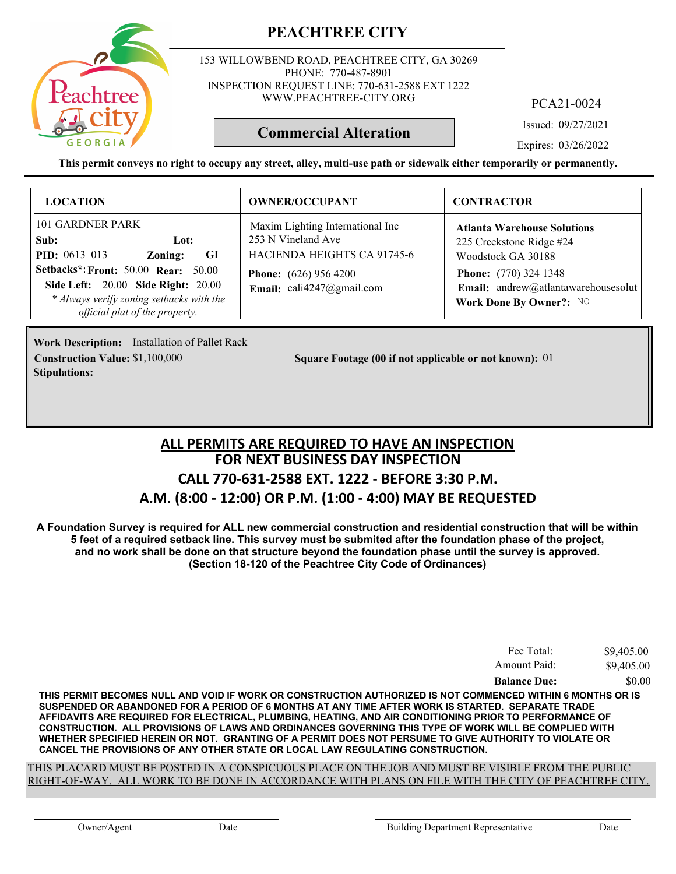153 WILLOWBEND ROAD, PEACHTREE CITY, GA 30269 PHONE: 770-487-8901 INSPECTION REQUEST LINE: 770-631-2588 EXT 1222 WWW.PEACHTREE-CITY.ORG

PCA21-0024

Issued: 09/27/2021

Expires: 03/26/2022

**This permit conveys no right to occupy any street, alley, multi-use path or sidewalk either temporarily or permanently.**

**Commercial Alteration**

| <b>LOCATION</b>                                                                                                                                                                                                                             | <b>OWNER/OCCUPANT</b>                                                                                                                                 | <b>CONTRACTOR</b>                                                                                                                                                                      |
|---------------------------------------------------------------------------------------------------------------------------------------------------------------------------------------------------------------------------------------------|-------------------------------------------------------------------------------------------------------------------------------------------------------|----------------------------------------------------------------------------------------------------------------------------------------------------------------------------------------|
| 101 GARDNER PARK<br>Sub:<br>Lot:<br><b>PID:</b> $0613$ 013<br>- GI<br>Zoning:<br>Setbacks*: Front: 50.00 Rear:<br>50.00<br>Side Left: 20.00 Side Right: 20.00<br>* Always verify zoning setbacks with the<br>official plat of the property. | Maxim Lighting International Inc<br>253 N Vineland Ave<br>HACIENDA HEIGHTS CA 91745-6<br><b>Phone:</b> $(626)$ 956 4200<br>Email: $cal247$ @gmail.com | <b>Atlanta Warehouse Solutions</b><br>225 Creekstone Ridge #24<br>Woodstock GA 30188<br><b>Phone:</b> (770) 324 1348<br>Email: andrew@atlantawarehousesolut<br>Work Done By Owner?: NO |

**Work Description:** Installation of Pallet Rack **Stipulations:**

**Construction Value:** \$1,100,000 **11 Square Footage (00 if not applicable or not known):** 01

#### **FOR NEXT BUSINESS DAY INSPECTION CALL 770-631-2588 EXT. 1222 - BEFORE 3:30 P.M. A.M. (8:00 - 12:00) OR P.M. (1:00 - 4:00) MAY BE REQUESTED ALL PERMITS ARE REQUIRED TO HAVE AN INSPECTION**

**A Foundation Survey is required for ALL new commercial construction and residential construction that will be within 5 feet of a required setback line. This survey must be submited after the foundation phase of the project, and no work shall be done on that structure beyond the foundation phase until the survey is approved. (Section 18-120 of the Peachtree City Code of Ordinances)**

| Fee Total:          | \$9,405.00 |
|---------------------|------------|
| Amount Paid:        | \$9,405.00 |
| <b>Balance Due:</b> | \$0.00     |

**THIS PERMIT BECOMES NULL AND VOID IF WORK OR CONSTRUCTION AUTHORIZED IS NOT COMMENCED WITHIN 6 MONTHS OR IS SUSPENDED OR ABANDONED FOR A PERIOD OF 6 MONTHS AT ANY TIME AFTER WORK IS STARTED. SEPARATE TRADE AFFIDAVITS ARE REQUIRED FOR ELECTRICAL, PLUMBING, HEATING, AND AIR CONDITIONING PRIOR TO PERFORMANCE OF CONSTRUCTION. ALL PROVISIONS OF LAWS AND ORDINANCES GOVERNING THIS TYPE OF WORK WILL BE COMPLIED WITH WHETHER SPECIFIED HEREIN OR NOT. GRANTING OF A PERMIT DOES NOT PERSUME TO GIVE AUTHORITY TO VIOLATE OR CANCEL THE PROVISIONS OF ANY OTHER STATE OR LOCAL LAW REGULATING CONSTRUCTION.**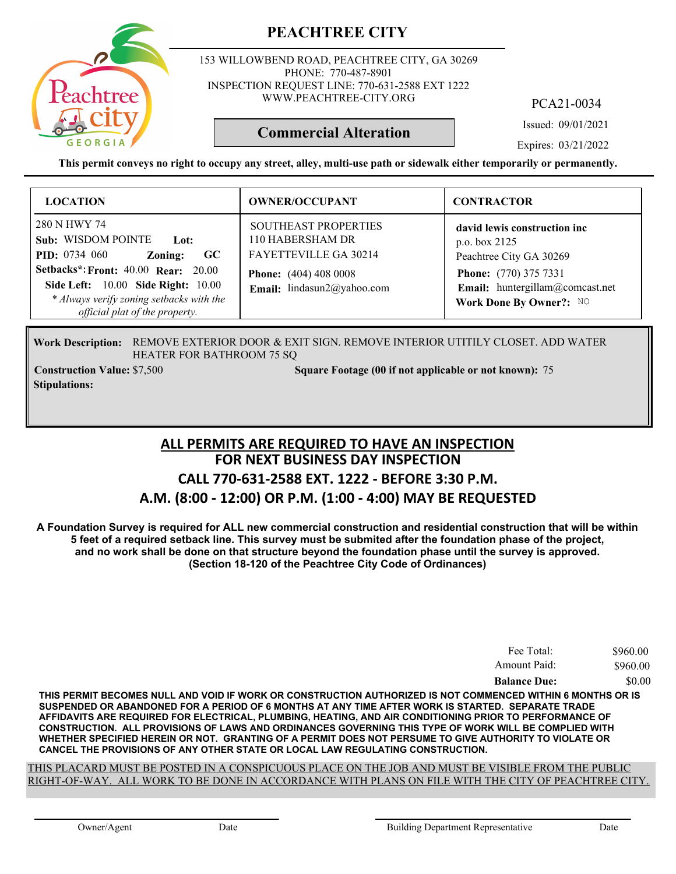153 WILLOWBEND ROAD, PEACHTREE CITY, GA 30269 PHONE: 770-487-8901 INSPECTION REQUEST LINE: 770-631-2588 EXT 1222 WWW.PEACHTREE-CITY.ORG

PCA21-0034

Issued: 09/01/2021

**Commercial Alteration**

Expires: 03/21/2022

**This permit conveys no right to occupy any street, alley, multi-use path or sidewalk either temporarily or permanently.**

| <b>LOCATION</b>                                                                                                                                                                                                                                         | <b>OWNER/OCCUPANT</b>                                                                                                                      | <b>CONTRACTOR</b>                                                                                                                                                      |
|---------------------------------------------------------------------------------------------------------------------------------------------------------------------------------------------------------------------------------------------------------|--------------------------------------------------------------------------------------------------------------------------------------------|------------------------------------------------------------------------------------------------------------------------------------------------------------------------|
| 280 N HWY 74<br>Sub: WISDOM POINTE<br>- Lot:<br><b>PID:</b> 0734 060<br>GC<br>Zoning:<br><b>Setbacks*: Front: 40.00 Rear: 20.00</b><br>Side Left: 10.00 Side Right: 10.00<br>* Always verify zoning setbacks with the<br>official plat of the property. | <b>SOUTHEAST PROPERTIES</b><br>110 HABERSHAM DR<br>FAYETTEVILLE GA 30214<br><b>Phone:</b> (404) 408 0008<br>Email: lindasun $2@$ yahoo.com | david lewis construction inc<br>p.o. box 2125<br>Peachtree City GA 30269<br><b>Phone:</b> (770) 375 7331<br>Email: huntergillam@comcast.net<br>Work Done By Owner?: NO |

Work Description: REMOVE EXTERIOR DOOR & EXIT SIGN. REMOVE INTERIOR UTITILY CLOSET. ADD WATER HEATER FOR BATHROOM 75 SQ

**Stipulations:**

**Construction Value:** \$7,500 **75 Square Footage (00 if not applicable or not known):** 75

#### **FOR NEXT BUSINESS DAY INSPECTION CALL 770-631-2588 EXT. 1222 - BEFORE 3:30 P.M. A.M. (8:00 - 12:00) OR P.M. (1:00 - 4:00) MAY BE REQUESTED ALL PERMITS ARE REQUIRED TO HAVE AN INSPECTION**

**A Foundation Survey is required for ALL new commercial construction and residential construction that will be within 5 feet of a required setback line. This survey must be submited after the foundation phase of the project, and no work shall be done on that structure beyond the foundation phase until the survey is approved. (Section 18-120 of the Peachtree City Code of Ordinances)**

| Fee Total:          | \$960.00 |
|---------------------|----------|
| Amount Paid:        | \$960.00 |
| <b>Balance Due:</b> | \$0.00   |

**THIS PERMIT BECOMES NULL AND VOID IF WORK OR CONSTRUCTION AUTHORIZED IS NOT COMMENCED WITHIN 6 MONTHS OR IS SUSPENDED OR ABANDONED FOR A PERIOD OF 6 MONTHS AT ANY TIME AFTER WORK IS STARTED. SEPARATE TRADE AFFIDAVITS ARE REQUIRED FOR ELECTRICAL, PLUMBING, HEATING, AND AIR CONDITIONING PRIOR TO PERFORMANCE OF CONSTRUCTION. ALL PROVISIONS OF LAWS AND ORDINANCES GOVERNING THIS TYPE OF WORK WILL BE COMPLIED WITH WHETHER SPECIFIED HEREIN OR NOT. GRANTING OF A PERMIT DOES NOT PERSUME TO GIVE AUTHORITY TO VIOLATE OR CANCEL THE PROVISIONS OF ANY OTHER STATE OR LOCAL LAW REGULATING CONSTRUCTION.**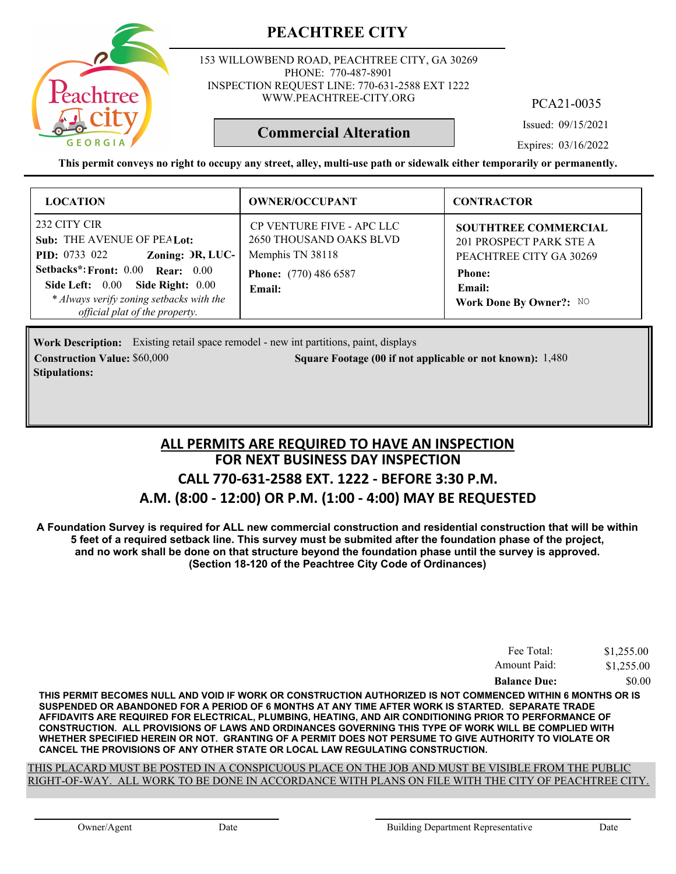

153 WILLOWBEND ROAD, PEACHTREE CITY, GA 30269 PHONE: 770-487-8901 INSPECTION REQUEST LINE: 770-631-2588 EXT 1222 WWW.PEACHTREE-CITY.ORG

PCA21-0035

Issued: 09/15/2021

**Commercial Alteration**

Expires: 03/16/2022

**This permit conveys no right to occupy any street, alley, multi-use path or sidewalk either temporarily or permanently.**

| <b>LOCATION</b>                                                                                                                                          | <b>OWNER/OCCUPANT</b>                                                    | <b>CONTRACTOR</b>                                                          |
|----------------------------------------------------------------------------------------------------------------------------------------------------------|--------------------------------------------------------------------------|----------------------------------------------------------------------------|
| 232 CITY CIR<br>Sub: THE AVENUE OF PEALot:<br>Zoning: DR, LUC-<br><b>PID:</b> 0733 022                                                                   | CP VENTURE FIVE - APC LLC<br>2650 THOUSAND OAKS BLVD<br>Memphis TN 38118 | SOUTHTREE COMMERCIAL<br>201 PROSPECT PARK STE A<br>PEACHTREE CITY GA 30269 |
| Setbacks*: Front: 0.00 Rear: 0.00<br>Side Right: 0.00<br>Side Left: $0.00$<br>* Always verify zoning setbacks with the<br>official plat of the property. | <b>Phone:</b> (770) 486 6587<br>Email:                                   | <b>Phone:</b><br>Email:<br>Work Done By Owner?: NO                         |

Work Description: Existing retail space remodel - new int partitions, paint, displays **Construction Value:** \$60,000 1,480 1,480 1,480 Square Footage (00 if not applicable or not known): 1,480 **Stipulations:**

#### **FOR NEXT BUSINESS DAY INSPECTION CALL 770-631-2588 EXT. 1222 - BEFORE 3:30 P.M. A.M. (8:00 - 12:00) OR P.M. (1:00 - 4:00) MAY BE REQUESTED ALL PERMITS ARE REQUIRED TO HAVE AN INSPECTION**

**A Foundation Survey is required for ALL new commercial construction and residential construction that will be within 5 feet of a required setback line. This survey must be submited after the foundation phase of the project, and no work shall be done on that structure beyond the foundation phase until the survey is approved. (Section 18-120 of the Peachtree City Code of Ordinances)**

| Fee Total:          | \$1,255.00 |
|---------------------|------------|
| Amount Paid:        | \$1,255.00 |
| <b>Balance Due:</b> | \$0.00     |

**THIS PERMIT BECOMES NULL AND VOID IF WORK OR CONSTRUCTION AUTHORIZED IS NOT COMMENCED WITHIN 6 MONTHS OR IS SUSPENDED OR ABANDONED FOR A PERIOD OF 6 MONTHS AT ANY TIME AFTER WORK IS STARTED. SEPARATE TRADE AFFIDAVITS ARE REQUIRED FOR ELECTRICAL, PLUMBING, HEATING, AND AIR CONDITIONING PRIOR TO PERFORMANCE OF CONSTRUCTION. ALL PROVISIONS OF LAWS AND ORDINANCES GOVERNING THIS TYPE OF WORK WILL BE COMPLIED WITH WHETHER SPECIFIED HEREIN OR NOT. GRANTING OF A PERMIT DOES NOT PERSUME TO GIVE AUTHORITY TO VIOLATE OR CANCEL THE PROVISIONS OF ANY OTHER STATE OR LOCAL LAW REGULATING CONSTRUCTION.**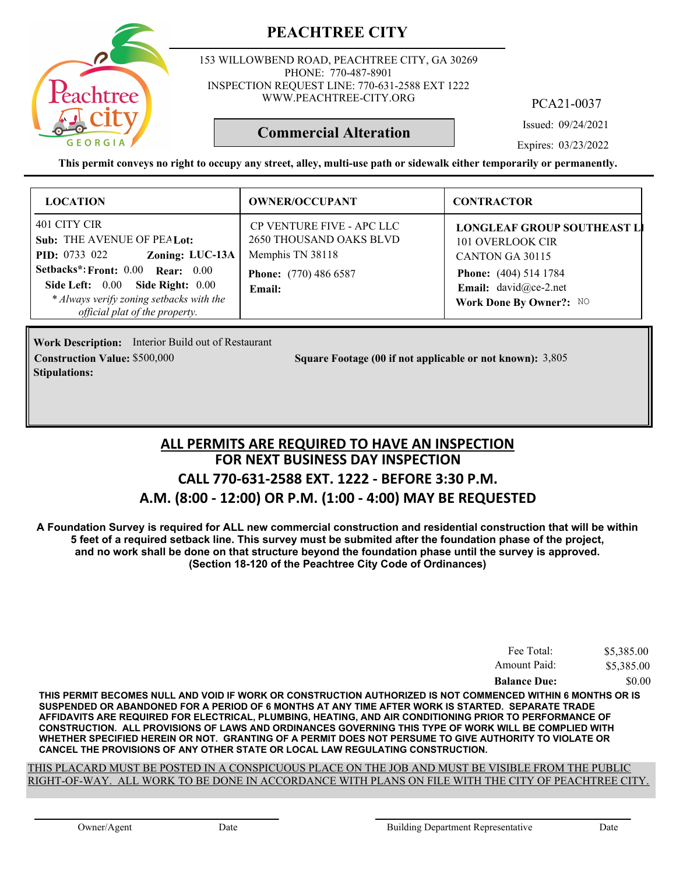

153 WILLOWBEND ROAD, PEACHTREE CITY, GA 30269 PHONE: 770-487-8901 INSPECTION REQUEST LINE: 770-631-2588 EXT 1222 WWW.PEACHTREE-CITY.ORG

PCA21-0037

Issued: 09/24/2021

Expires: 03/23/2022

**This permit conveys no right to occupy any street, alley, multi-use path or sidewalk either temporarily or permanently.**

**Commercial Alteration**

| <b>LOCATION</b>                                                                                                                                                                                                                              | <b>OWNER/OCCUPANT</b>                                                                                              | <b>CONTRACTOR</b>                                                                                                                                             |
|----------------------------------------------------------------------------------------------------------------------------------------------------------------------------------------------------------------------------------------------|--------------------------------------------------------------------------------------------------------------------|---------------------------------------------------------------------------------------------------------------------------------------------------------------|
| 401 CITY CIR<br>Sub: THE AVENUE OF PEALot:<br>Zoning: LUC-13A<br><b>PID:</b> 0733 022<br>Setbacks*: Front: 0.00 Rear: 0.00<br>Side Left: 0.00 Side Right: 0.00<br>* Always verify zoning setbacks with the<br>official plat of the property. | CP VENTURE FIVE - APC LLC<br>2650 THOUSAND OAKS BLVD<br>Memphis TN 38118<br><b>Phone:</b> (770) 486 6587<br>Email: | <b>LONGLEAF GROUP SOUTHEAST LI</b><br>101 OVERLOOK CIR<br>CANTON GA 30115<br><b>Phone:</b> (404) 514 1784<br>Email: david@ce-2.net<br>Work Done By Owner?: NO |

**Work Description:** Interior Build out of Restaurant **Stipulations:**

**Construction Value:** \$500,000 3,805 **Square Footage (00 if not applicable or not known):** 3,805

#### **FOR NEXT BUSINESS DAY INSPECTION CALL 770-631-2588 EXT. 1222 - BEFORE 3:30 P.M. A.M. (8:00 - 12:00) OR P.M. (1:00 - 4:00) MAY BE REQUESTED ALL PERMITS ARE REQUIRED TO HAVE AN INSPECTION**

**A Foundation Survey is required for ALL new commercial construction and residential construction that will be within 5 feet of a required setback line. This survey must be submited after the foundation phase of the project, and no work shall be done on that structure beyond the foundation phase until the survey is approved. (Section 18-120 of the Peachtree City Code of Ordinances)**

| Fee Total:          | \$5,385.00 |
|---------------------|------------|
| Amount Paid:        | \$5,385.00 |
| <b>Balance Due:</b> | \$0.00     |

**THIS PERMIT BECOMES NULL AND VOID IF WORK OR CONSTRUCTION AUTHORIZED IS NOT COMMENCED WITHIN 6 MONTHS OR IS SUSPENDED OR ABANDONED FOR A PERIOD OF 6 MONTHS AT ANY TIME AFTER WORK IS STARTED. SEPARATE TRADE AFFIDAVITS ARE REQUIRED FOR ELECTRICAL, PLUMBING, HEATING, AND AIR CONDITIONING PRIOR TO PERFORMANCE OF CONSTRUCTION. ALL PROVISIONS OF LAWS AND ORDINANCES GOVERNING THIS TYPE OF WORK WILL BE COMPLIED WITH WHETHER SPECIFIED HEREIN OR NOT. GRANTING OF A PERMIT DOES NOT PERSUME TO GIVE AUTHORITY TO VIOLATE OR CANCEL THE PROVISIONS OF ANY OTHER STATE OR LOCAL LAW REGULATING CONSTRUCTION.**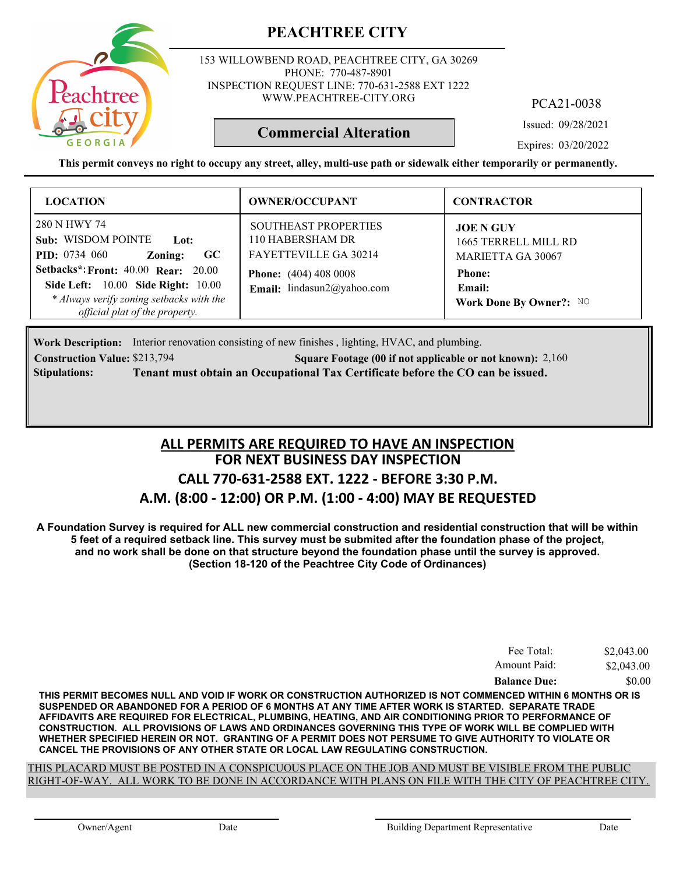

153 WILLOWBEND ROAD, PEACHTREE CITY, GA 30269 PHONE: 770-487-8901 INSPECTION REQUEST LINE: 770-631-2588 EXT 1222 WWW.PEACHTREE-CITY.ORG

PCA21-0038

Issued: 09/28/2021

Expires: 03/20/2022

**This permit conveys no right to occupy any street, alley, multi-use path or sidewalk either temporarily or permanently.**

**Commercial Alteration**

| <b>LOCATION</b>                                                                                                                                                                                                                                | <b>OWNER/OCCUPANT</b>                                                                                                                         | <b>CONTRACTOR</b>                                                                                                          |
|------------------------------------------------------------------------------------------------------------------------------------------------------------------------------------------------------------------------------------------------|-----------------------------------------------------------------------------------------------------------------------------------------------|----------------------------------------------------------------------------------------------------------------------------|
| 280 N HWY 74<br>Sub: WISDOM POINTE<br>Lot:<br><b>PID:</b> 0734 060<br>GC<br>Zoning:<br>Setbacks*: Front: 40.00 Rear: 20.00<br>Side Left: 10.00 Side Right: 10.00<br>* Always verify zoning setbacks with the<br>official plat of the property. | <b>SOUTHEAST PROPERTIES</b><br>110 HABERSHAM DR<br><b>FAYETTEVILLE GA 30214</b><br><b>Phone:</b> (404) 408 0008<br>Email: lindasun2@yahoo.com | <b>JOE N GUY</b><br>1665 TERRELL MILL RD<br><b>MARIETTA GA 30067</b><br><b>Phone:</b><br>Email:<br>Work Done By Owner?: NO |

**Work Description:** Interior renovation consisting of new finishes, lighting, HVAC, and plumbing. **Construction Value:** \$213,794 2,160 **2018** 2,160 **2,160** 2,160 **2,160** 2,160 **2,160** 2,160 **Stipulations: Tenant must obtain an Occupational Tax Certificate before the CO can be issued.**

# **FOR NEXT BUSINESS DAY INSPECTION CALL 770-631-2588 EXT. 1222 - BEFORE 3:30 P.M. A.M. (8:00 - 12:00) OR P.M. (1:00 - 4:00) MAY BE REQUESTED ALL PERMITS ARE REQUIRED TO HAVE AN INSPECTION**

**A Foundation Survey is required for ALL new commercial construction and residential construction that will be within 5 feet of a required setback line. This survey must be submited after the foundation phase of the project, and no work shall be done on that structure beyond the foundation phase until the survey is approved. (Section 18-120 of the Peachtree City Code of Ordinances)**

| Fee Total:          | \$2,043.00 |
|---------------------|------------|
| Amount Paid:        | \$2,043.00 |
| <b>Balance Due:</b> | \$0.00     |

**THIS PERMIT BECOMES NULL AND VOID IF WORK OR CONSTRUCTION AUTHORIZED IS NOT COMMENCED WITHIN 6 MONTHS OR IS SUSPENDED OR ABANDONED FOR A PERIOD OF 6 MONTHS AT ANY TIME AFTER WORK IS STARTED. SEPARATE TRADE AFFIDAVITS ARE REQUIRED FOR ELECTRICAL, PLUMBING, HEATING, AND AIR CONDITIONING PRIOR TO PERFORMANCE OF CONSTRUCTION. ALL PROVISIONS OF LAWS AND ORDINANCES GOVERNING THIS TYPE OF WORK WILL BE COMPLIED WITH WHETHER SPECIFIED HEREIN OR NOT. GRANTING OF A PERMIT DOES NOT PERSUME TO GIVE AUTHORITY TO VIOLATE OR CANCEL THE PROVISIONS OF ANY OTHER STATE OR LOCAL LAW REGULATING CONSTRUCTION.**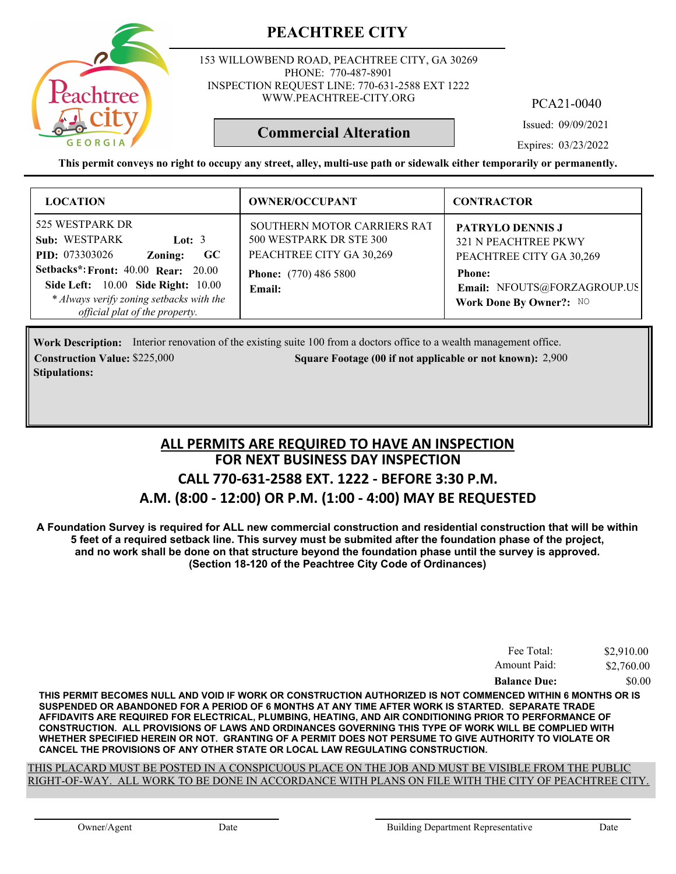

153 WILLOWBEND ROAD, PEACHTREE CITY, GA 30269 PHONE: 770-487-8901 INSPECTION REQUEST LINE: 770-631-2588 EXT 1222 WWW.PEACHTREE-CITY.ORG

PCA21-0040

Issued: 09/09/2021

Expires: 03/23/2022

**This permit conveys no right to occupy any street, alley, multi-use path or sidewalk either temporarily or permanently.**

**Commercial Alteration**

| <b>LOCATION</b>                                                                                                                                                                                                                                                | <b>OWNER/OCCUPANT</b>                                                                                                        | <b>CONTRACTOR</b>                                                                                                                                             |
|----------------------------------------------------------------------------------------------------------------------------------------------------------------------------------------------------------------------------------------------------------------|------------------------------------------------------------------------------------------------------------------------------|---------------------------------------------------------------------------------------------------------------------------------------------------------------|
| 525 WESTPARK DR<br>Sub: WESTPARK<br>Lot: $3$<br><b>PID:</b> 073303026<br>$\bf GC$<br>Zoning:<br><b>Setbacks*: Front: 40.00 Rear: 20.00</b><br>Side Left: 10.00 Side Right: 10.00<br>* Always verify zoning setbacks with the<br>official plat of the property. | SOUTHERN MOTOR CARRIERS RAT<br>500 WESTPARK DR STE 300<br>PEACHTREE CITY GA 30,269<br><b>Phone:</b> (770) 486 5800<br>Email: | <b>PATRYLO DENNIS J</b><br><b>321 N PEACHTREE PKWY</b><br>PEACHTREE CITY GA 30,269<br><b>Phone:</b><br>Email: NFOUTS@FORZAGROUP.US<br>Work Done By Owner?: NO |

Work Description: Interior renovation of the existing suite 100 from a doctors office to a wealth management office. **Construction Value:** \$225,000 2,900 2,900 2,900 2,900 2,900 2,900 2,900 2,900 2,900 2,900 2,900 2,900 2,900 2,900 **Stipulations:**

#### **FOR NEXT BUSINESS DAY INSPECTION CALL 770-631-2588 EXT. 1222 - BEFORE 3:30 P.M. A.M. (8:00 - 12:00) OR P.M. (1:00 - 4:00) MAY BE REQUESTED ALL PERMITS ARE REQUIRED TO HAVE AN INSPECTION**

**A Foundation Survey is required for ALL new commercial construction and residential construction that will be within 5 feet of a required setback line. This survey must be submited after the foundation phase of the project, and no work shall be done on that structure beyond the foundation phase until the survey is approved. (Section 18-120 of the Peachtree City Code of Ordinances)**

| Fee Total:          | \$2,910.00 |
|---------------------|------------|
| Amount Paid:        | \$2,760.00 |
| <b>Balance Due:</b> | \$0.00     |

**THIS PERMIT BECOMES NULL AND VOID IF WORK OR CONSTRUCTION AUTHORIZED IS NOT COMMENCED WITHIN 6 MONTHS OR IS SUSPENDED OR ABANDONED FOR A PERIOD OF 6 MONTHS AT ANY TIME AFTER WORK IS STARTED. SEPARATE TRADE AFFIDAVITS ARE REQUIRED FOR ELECTRICAL, PLUMBING, HEATING, AND AIR CONDITIONING PRIOR TO PERFORMANCE OF CONSTRUCTION. ALL PROVISIONS OF LAWS AND ORDINANCES GOVERNING THIS TYPE OF WORK WILL BE COMPLIED WITH WHETHER SPECIFIED HEREIN OR NOT. GRANTING OF A PERMIT DOES NOT PERSUME TO GIVE AUTHORITY TO VIOLATE OR CANCEL THE PROVISIONS OF ANY OTHER STATE OR LOCAL LAW REGULATING CONSTRUCTION.**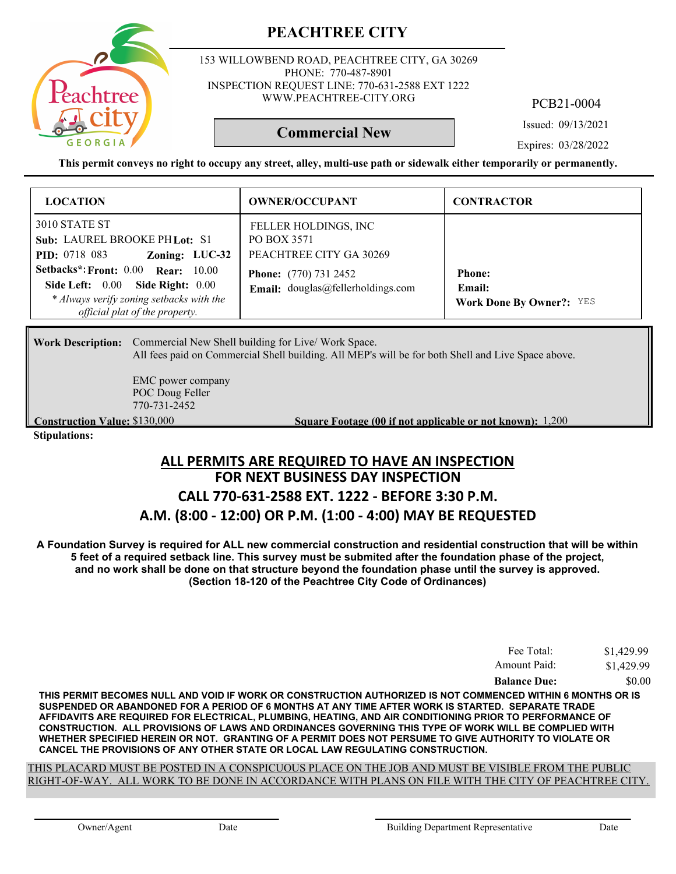

153 WILLOWBEND ROAD, PEACHTREE CITY, GA 30269 PHONE: 770-487-8901 INSPECTION REQUEST LINE: 770-631-2588 EXT 1222 WWW.PEACHTREE-CITY.ORG

PCB21-0004

Issued: 09/13/2021

**Commercial New**

Expires: 03/28/2022

**This permit conveys no right to occupy any street, alley, multi-use path or sidewalk either temporarily or permanently.**

| <b>LOCATION</b>                                                                                                                                      | <b>OWNER/OCCUPANT</b>                                             | <b>CONTRACTOR</b>                                          |
|------------------------------------------------------------------------------------------------------------------------------------------------------|-------------------------------------------------------------------|------------------------------------------------------------|
| 3010 STATE ST<br>Sub: LAUREL BROOKE PH Lot: S1<br>Zoning: LUC-32<br><b>PID:</b> 0718 083                                                             | FELLER HOLDINGS, INC<br>PO BOX 3571<br>PEACHTREE CITY GA 30269    |                                                            |
| Setbacks*: Front: 0.00 Rear: 10.00<br>Side Left: 0.00 Side Right: 0.00<br>* Always verify zoning setbacks with the<br>official plat of the property. | <b>Phone:</b> (770) 731 2452<br>Email: douglas@fellerholdings.com | <b>Phone:</b><br>Email:<br><b>Work Done By Owner?: YES</b> |

Work Description: Commercial New Shell building for Live/ Work Space. All fees paid on Commercial Shell building. All MEP's will be for both Shell and Live Space above.

> EMC power company POC Doug Feller 770-731-2452

**Construction Value:** \$130,000 **1,200 1,200 1,200 1,200 1,200 1,200 1,200 1,200 1,200 1,200 1,200 1,200 1,200 1,200 1,200 1,200 1,200 1,200 1,200 1,200 1,200 1,200 1,200 1,200** 

**Stipulations:**

#### **FOR NEXT BUSINESS DAY INSPECTION CALL 770-631-2588 EXT. 1222 - BEFORE 3:30 P.M. A.M. (8:00 - 12:00) OR P.M. (1:00 - 4:00) MAY BE REQUESTED ALL PERMITS ARE REQUIRED TO HAVE AN INSPECTION**

**A Foundation Survey is required for ALL new commercial construction and residential construction that will be within 5 feet of a required setback line. This survey must be submited after the foundation phase of the project, and no work shall be done on that structure beyond the foundation phase until the survey is approved. (Section 18-120 of the Peachtree City Code of Ordinances)**

| <b>Balance Due:</b> | \$0.00     |
|---------------------|------------|
| Amount Paid:        | \$1,429.99 |
| Fee Total:          | \$1,429.99 |

**THIS PERMIT BECOMES NULL AND VOID IF WORK OR CONSTRUCTION AUTHORIZED IS NOT COMMENCED WITHIN 6 MONTHS OR IS SUSPENDED OR ABANDONED FOR A PERIOD OF 6 MONTHS AT ANY TIME AFTER WORK IS STARTED. SEPARATE TRADE AFFIDAVITS ARE REQUIRED FOR ELECTRICAL, PLUMBING, HEATING, AND AIR CONDITIONING PRIOR TO PERFORMANCE OF CONSTRUCTION. ALL PROVISIONS OF LAWS AND ORDINANCES GOVERNING THIS TYPE OF WORK WILL BE COMPLIED WITH WHETHER SPECIFIED HEREIN OR NOT. GRANTING OF A PERMIT DOES NOT PERSUME TO GIVE AUTHORITY TO VIOLATE OR CANCEL THE PROVISIONS OF ANY OTHER STATE OR LOCAL LAW REGULATING CONSTRUCTION.**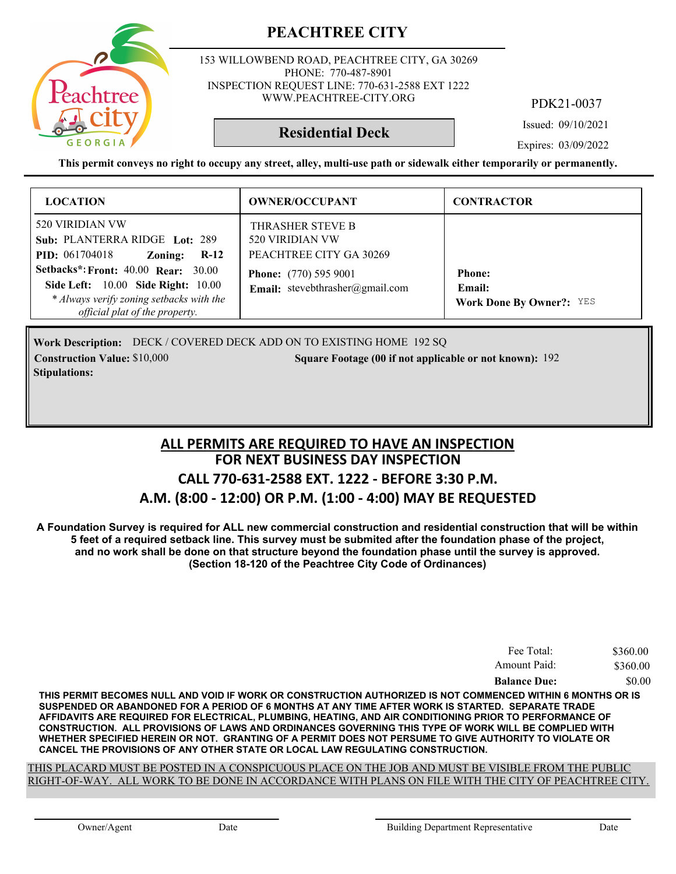

153 WILLOWBEND ROAD, PEACHTREE CITY, GA 30269 PHONE: 770-487-8901 INSPECTION REQUEST LINE: 770-631-2588 EXT 1222 WWW.PEACHTREE-CITY.ORG

PDK21-0037

Issued: 09/10/2021

#### **Residential Deck**

Expires: 03/09/2022

**This permit conveys no right to occupy any street, alley, multi-use path or sidewalk either temporarily or permanently.**

| <b>LOCATION</b>                                                                                                                                                              | <b>OWNER/OCCUPANT</b>                                           | <b>CONTRACTOR</b>                                          |
|------------------------------------------------------------------------------------------------------------------------------------------------------------------------------|-----------------------------------------------------------------|------------------------------------------------------------|
| 520 VIRIDIAN VW<br>Sub: PLANTERRA RIDGE Lot: 289<br><b>PID:</b> 061704018<br>$R-12$<br>Zoning:                                                                               | THRASHER STEVE B<br>520 VIRIDIAN VW<br>PEACHTREE CITY GA 30269  |                                                            |
| <b>Setbacks*: Front: 40.00 Rear: 30.00</b><br><b>Side Left:</b> 10.00 <b>Side Right:</b> 10.00<br>* Always verify zoning setbacks with the<br>official plat of the property. | <b>Phone:</b> (770) 595 9001<br>Email: stevebthrasher@gmail.com | <b>Phone:</b><br>Email:<br><b>Work Done By Owner?: YES</b> |

Work Description: DECK / COVERED DECK ADD ON TO EXISTING HOME 192 SQ **Construction Value:** \$10,000 192 **Square Footage (00 if not applicable or not known): 192 Stipulations:**

#### **FOR NEXT BUSINESS DAY INSPECTION CALL 770-631-2588 EXT. 1222 - BEFORE 3:30 P.M. A.M. (8:00 - 12:00) OR P.M. (1:00 - 4:00) MAY BE REQUESTED ALL PERMITS ARE REQUIRED TO HAVE AN INSPECTION**

**A Foundation Survey is required for ALL new commercial construction and residential construction that will be within 5 feet of a required setback line. This survey must be submited after the foundation phase of the project, and no work shall be done on that structure beyond the foundation phase until the survey is approved. (Section 18-120 of the Peachtree City Code of Ordinances)**

| Fee Total:          | \$360.00 |
|---------------------|----------|
| Amount Paid:        | \$360.00 |
| <b>Balance Due:</b> | \$0.00   |

**THIS PERMIT BECOMES NULL AND VOID IF WORK OR CONSTRUCTION AUTHORIZED IS NOT COMMENCED WITHIN 6 MONTHS OR IS SUSPENDED OR ABANDONED FOR A PERIOD OF 6 MONTHS AT ANY TIME AFTER WORK IS STARTED. SEPARATE TRADE AFFIDAVITS ARE REQUIRED FOR ELECTRICAL, PLUMBING, HEATING, AND AIR CONDITIONING PRIOR TO PERFORMANCE OF CONSTRUCTION. ALL PROVISIONS OF LAWS AND ORDINANCES GOVERNING THIS TYPE OF WORK WILL BE COMPLIED WITH WHETHER SPECIFIED HEREIN OR NOT. GRANTING OF A PERMIT DOES NOT PERSUME TO GIVE AUTHORITY TO VIOLATE OR CANCEL THE PROVISIONS OF ANY OTHER STATE OR LOCAL LAW REGULATING CONSTRUCTION.**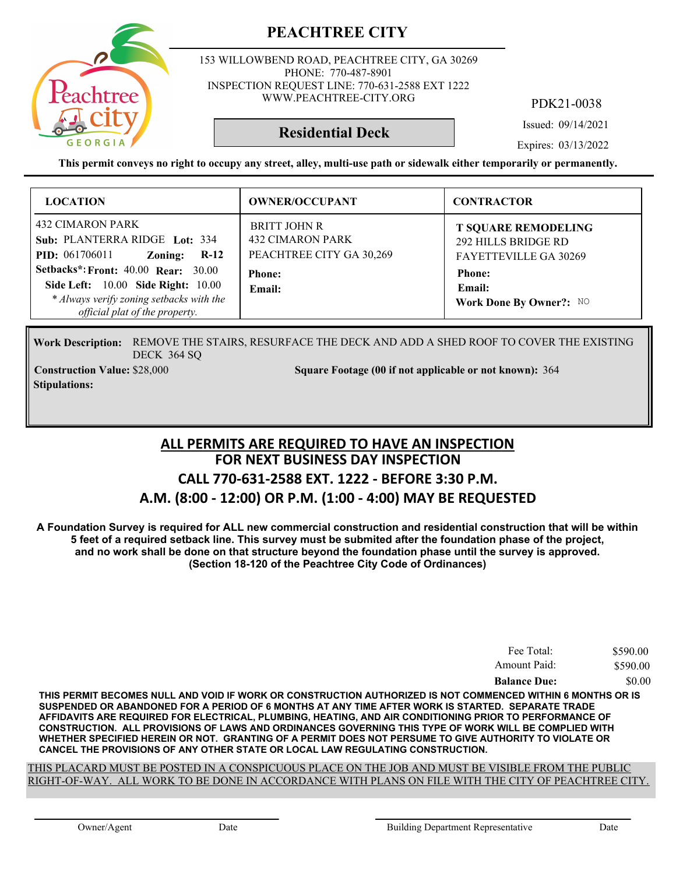

153 WILLOWBEND ROAD, PEACHTREE CITY, GA 30269 PHONE: 770-487-8901 INSPECTION REQUEST LINE: 770-631-2588 EXT 1222 WWW.PEACHTREE-CITY.ORG

PDK21-0038

Issued: 09/14/2021

**Residential Deck**

Expires: 03/13/2022

**This permit conveys no right to occupy any street, alley, multi-use path or sidewalk either temporarily or permanently.**

| <b>LOCATION</b>                                                                                                                               | <b>OWNER/OCCUPANT</b>                                                      | <b>CONTRACTOR</b>                                                          |
|-----------------------------------------------------------------------------------------------------------------------------------------------|----------------------------------------------------------------------------|----------------------------------------------------------------------------|
| 432 CIMARON PARK<br>Sub: PLANTERRA RIDGE Lot: 334<br>$R-12$<br><b>PID:</b> 061706011<br>Zoning:<br><b>Setbacks*: Front: 40.00 Rear: 30.00</b> | <b>BRITT JOHN R</b><br><b>432 CIMARON PARK</b><br>PEACHTREE CITY GA 30,269 | <b>T SQUARE REMODELING</b><br>292 HILLS BRIDGE RD<br>FAYETTEVILLE GA 30269 |
| <b>Side Left:</b> 10.00 <b>Side Right:</b> 10.00<br>* Always verify zoning setbacks with the<br>official plat of the property.                | <b>Phone:</b><br>Email:                                                    | <b>Phone:</b><br>Email:<br>Work Done By Owner?: NO                         |

REMOVE THE STAIRS, RESURFACE THE DECK AND ADD A SHED ROOF TO COVER THE EXISTING **Work Description:** DECK 364 SQ

**Stipulations:**

**Construction Value:** \$28,000 364 Square Footage (00 if not applicable or not known): 364

#### **FOR NEXT BUSINESS DAY INSPECTION CALL 770-631-2588 EXT. 1222 - BEFORE 3:30 P.M. A.M. (8:00 - 12:00) OR P.M. (1:00 - 4:00) MAY BE REQUESTED ALL PERMITS ARE REQUIRED TO HAVE AN INSPECTION**

**A Foundation Survey is required for ALL new commercial construction and residential construction that will be within 5 feet of a required setback line. This survey must be submited after the foundation phase of the project, and no work shall be done on that structure beyond the foundation phase until the survey is approved. (Section 18-120 of the Peachtree City Code of Ordinances)**

| Fee Total:          | \$590.00 |
|---------------------|----------|
| Amount Paid:        | \$590.00 |
| <b>Balance Due:</b> | \$0.00   |

**THIS PERMIT BECOMES NULL AND VOID IF WORK OR CONSTRUCTION AUTHORIZED IS NOT COMMENCED WITHIN 6 MONTHS OR IS SUSPENDED OR ABANDONED FOR A PERIOD OF 6 MONTHS AT ANY TIME AFTER WORK IS STARTED. SEPARATE TRADE AFFIDAVITS ARE REQUIRED FOR ELECTRICAL, PLUMBING, HEATING, AND AIR CONDITIONING PRIOR TO PERFORMANCE OF CONSTRUCTION. ALL PROVISIONS OF LAWS AND ORDINANCES GOVERNING THIS TYPE OF WORK WILL BE COMPLIED WITH WHETHER SPECIFIED HEREIN OR NOT. GRANTING OF A PERMIT DOES NOT PERSUME TO GIVE AUTHORITY TO VIOLATE OR CANCEL THE PROVISIONS OF ANY OTHER STATE OR LOCAL LAW REGULATING CONSTRUCTION.**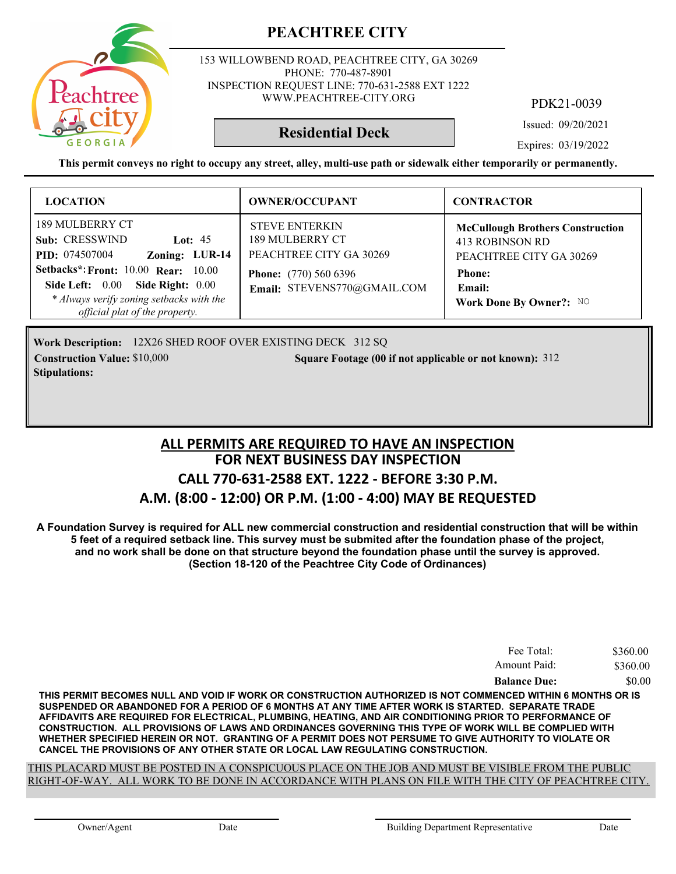153 WILLOWBEND ROAD, PEACHTREE CITY, GA 30269 PHONE: 770-487-8901 INSPECTION REQUEST LINE: 770-631-2588 EXT 1222 WWW.PEACHTREE-CITY.ORG

PDK21-0039

Issued: 09/20/2021

#### **Residential Deck**

Expires: 03/19/2022

**This permit conveys no right to occupy any street, alley, multi-use path or sidewalk either temporarily or permanently.**

| <b>LOCATION</b>                                                                                                                                                                                                                                           | <b>OWNER/OCCUPANT</b>                                                                                                              | <b>CONTRACTOR</b>                                                                                                                           |
|-----------------------------------------------------------------------------------------------------------------------------------------------------------------------------------------------------------------------------------------------------------|------------------------------------------------------------------------------------------------------------------------------------|---------------------------------------------------------------------------------------------------------------------------------------------|
| 189 MULBERRY CT<br>Sub: CRESSWIND<br>Lot: $45$<br>Zoning: LUR-14<br><b>PID:</b> 074507004<br><b>Setbacks*: Front: 10.00 Rear: 10.00</b><br>Side Left: 0.00 Side Right: 0.00<br>* Always verify zoning setbacks with the<br>official plat of the property. | <b>STEVE ENTERKIN</b><br>189 MULBERRY CT<br>PEACHTREE CITY GA 30269<br><b>Phone:</b> (770) 560 6396<br>Email: STEVENS770@GMAIL.COM | <b>McCullough Brothers Construction</b><br>413 ROBINSON RD<br>PEACHTREE CITY GA 30269<br><b>Phone:</b><br>Email:<br>Work Done By Owner?: NO |

Work Description: 12X26 SHED ROOF OVER EXISTING DECK 312 SQ **Construction Value:** \$10,000 **312 Square Footage (00 if not applicable or not known):** 312 **Stipulations:**

#### **FOR NEXT BUSINESS DAY INSPECTION CALL 770-631-2588 EXT. 1222 - BEFORE 3:30 P.M. A.M. (8:00 - 12:00) OR P.M. (1:00 - 4:00) MAY BE REQUESTED ALL PERMITS ARE REQUIRED TO HAVE AN INSPECTION**

**A Foundation Survey is required for ALL new commercial construction and residential construction that will be within 5 feet of a required setback line. This survey must be submited after the foundation phase of the project, and no work shall be done on that structure beyond the foundation phase until the survey is approved. (Section 18-120 of the Peachtree City Code of Ordinances)**

| Fee Total:          | \$360.00 |
|---------------------|----------|
| Amount Paid:        | \$360.00 |
| <b>Balance Due:</b> | \$0.00   |

**THIS PERMIT BECOMES NULL AND VOID IF WORK OR CONSTRUCTION AUTHORIZED IS NOT COMMENCED WITHIN 6 MONTHS OR IS SUSPENDED OR ABANDONED FOR A PERIOD OF 6 MONTHS AT ANY TIME AFTER WORK IS STARTED. SEPARATE TRADE AFFIDAVITS ARE REQUIRED FOR ELECTRICAL, PLUMBING, HEATING, AND AIR CONDITIONING PRIOR TO PERFORMANCE OF CONSTRUCTION. ALL PROVISIONS OF LAWS AND ORDINANCES GOVERNING THIS TYPE OF WORK WILL BE COMPLIED WITH WHETHER SPECIFIED HEREIN OR NOT. GRANTING OF A PERMIT DOES NOT PERSUME TO GIVE AUTHORITY TO VIOLATE OR CANCEL THE PROVISIONS OF ANY OTHER STATE OR LOCAL LAW REGULATING CONSTRUCTION.**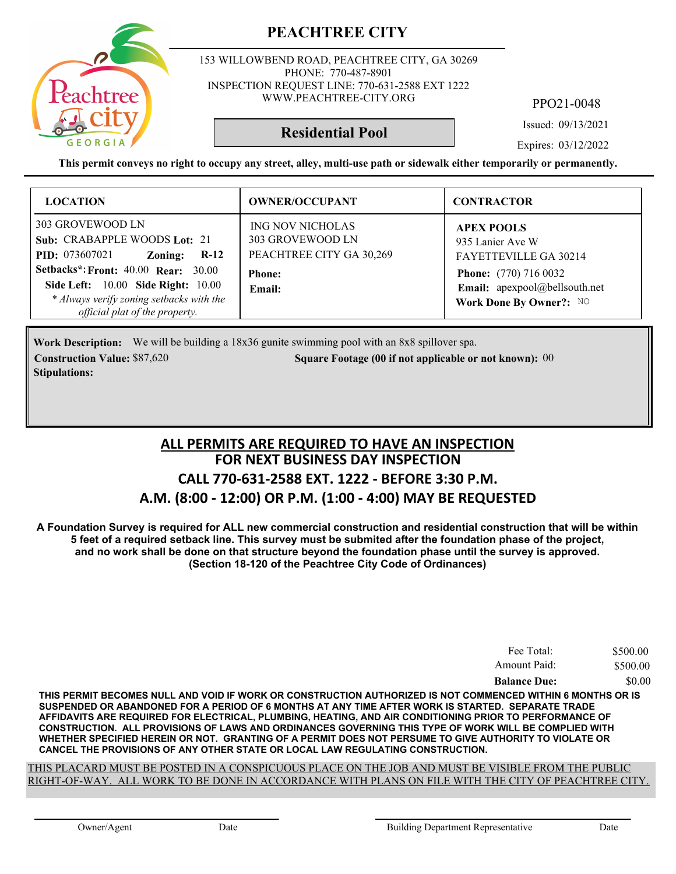

153 WILLOWBEND ROAD, PEACHTREE CITY, GA 30269 PHONE: 770-487-8901 INSPECTION REQUEST LINE: 770-631-2588 EXT 1222 WWW.PEACHTREE-CITY.ORG

PPO21-0048

Issued: 09/13/2021

**Residential Pool**

Expires: 03/12/2022

**This permit conveys no right to occupy any street, alley, multi-use path or sidewalk either temporarily or permanently.**

| <b>LOCATION</b>                                                                                                                                                                                                                                                                | <b>OWNER/OCCUPANT</b>                                                                              | <b>CONTRACTOR</b>                                                                                                                                          |
|--------------------------------------------------------------------------------------------------------------------------------------------------------------------------------------------------------------------------------------------------------------------------------|----------------------------------------------------------------------------------------------------|------------------------------------------------------------------------------------------------------------------------------------------------------------|
| 303 GROVEWOOD LN<br>Sub: CRABAPPLE WOODS Lot: 21<br><b>PID:</b> 073607021<br>Zoning:<br>$R-12$<br><b>Setbacks*: Front: 40.00 Rear: 30.00</b><br><b>Side Left:</b> 10.00 <b>Side Right:</b> 10.00<br>* Always verify zoning setbacks with the<br>official plat of the property. | <b>ING NOV NICHOLAS</b><br>303 GROVEWOOD LN<br>PEACHTREE CITY GA 30,269<br><b>Phone:</b><br>Email: | <b>APEX POOLS</b><br>935 Lanier Ave W<br>FAYETTEVILLE GA 30214<br><b>Phone:</b> (770) 716 0032<br>Email: apexpool@bellsouth.net<br>Work Done By Owner?: NO |

**Work Description:** We will be building a 18x36 gunite swimming pool with an 8x8 spillover spa. **Construction Value:** \$87,620 **80. Square Footage (00 if not applicable or not known): 00 Stipulations:**

#### **FOR NEXT BUSINESS DAY INSPECTION CALL 770-631-2588 EXT. 1222 - BEFORE 3:30 P.M. A.M. (8:00 - 12:00) OR P.M. (1:00 - 4:00) MAY BE REQUESTED ALL PERMITS ARE REQUIRED TO HAVE AN INSPECTION**

**A Foundation Survey is required for ALL new commercial construction and residential construction that will be within 5 feet of a required setback line. This survey must be submited after the foundation phase of the project, and no work shall be done on that structure beyond the foundation phase until the survey is approved. (Section 18-120 of the Peachtree City Code of Ordinances)**

| Fee Total:          | \$500.00 |
|---------------------|----------|
| Amount Paid:        | \$500.00 |
| <b>Balance Due:</b> | \$0.00   |

**THIS PERMIT BECOMES NULL AND VOID IF WORK OR CONSTRUCTION AUTHORIZED IS NOT COMMENCED WITHIN 6 MONTHS OR IS SUSPENDED OR ABANDONED FOR A PERIOD OF 6 MONTHS AT ANY TIME AFTER WORK IS STARTED. SEPARATE TRADE AFFIDAVITS ARE REQUIRED FOR ELECTRICAL, PLUMBING, HEATING, AND AIR CONDITIONING PRIOR TO PERFORMANCE OF CONSTRUCTION. ALL PROVISIONS OF LAWS AND ORDINANCES GOVERNING THIS TYPE OF WORK WILL BE COMPLIED WITH WHETHER SPECIFIED HEREIN OR NOT. GRANTING OF A PERMIT DOES NOT PERSUME TO GIVE AUTHORITY TO VIOLATE OR CANCEL THE PROVISIONS OF ANY OTHER STATE OR LOCAL LAW REGULATING CONSTRUCTION.**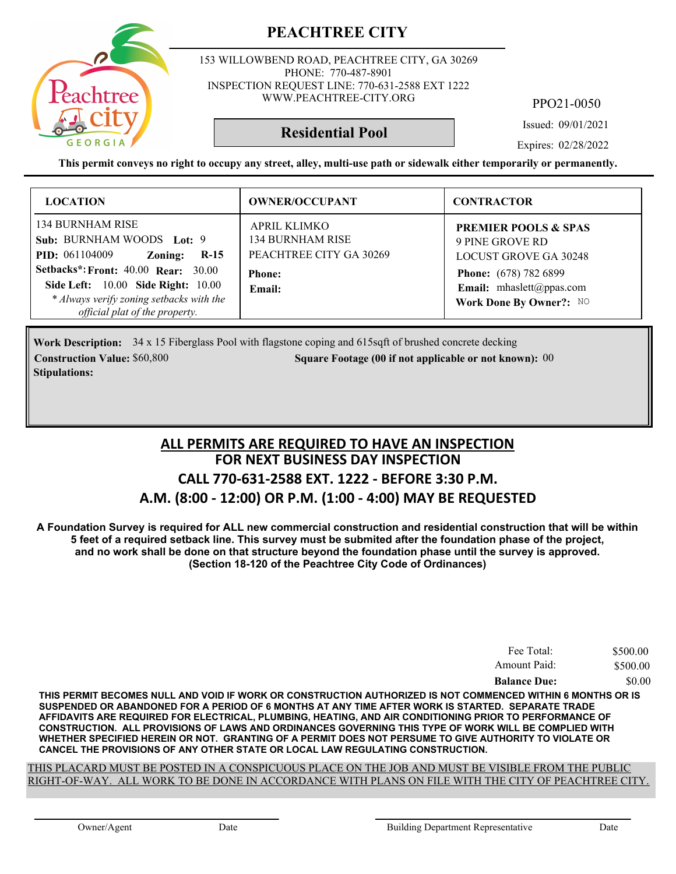

153 WILLOWBEND ROAD, PEACHTREE CITY, GA 30269 PHONE: 770-487-8901 INSPECTION REQUEST LINE: 770-631-2588 EXT 1222 WWW.PEACHTREE-CITY.ORG

PPO21-0050

Issued: 09/01/2021

**Residential Pool**

Expires: 02/28/2022

**This permit conveys no right to occupy any street, alley, multi-use path or sidewalk either temporarily or permanently.**

| <b>LOCATION</b>                                                                                                                                                                                                                                               | <b>OWNER/OCCUPANT</b>                                                                                | <b>CONTRACTOR</b>                                                                                                                                                         |
|---------------------------------------------------------------------------------------------------------------------------------------------------------------------------------------------------------------------------------------------------------------|------------------------------------------------------------------------------------------------------|---------------------------------------------------------------------------------------------------------------------------------------------------------------------------|
| 134 BURNHAM RISE<br>Sub: BURNHAM WOODS Lot: 9<br><b>PID:</b> 061104009<br>Zoning:<br>$R-15$<br><b>Setbacks*: Front: 40.00 Rear: 30.00</b><br>Side Left: 10.00 Side Right: 10.00<br>* Always verify zoning setbacks with the<br>official plat of the property. | <b>APRIL KLIMKO</b><br><b>134 BURNHAM RISE</b><br>PEACHTREE CITY GA 30269<br><b>Phone:</b><br>Email: | <b>PREMIER POOLS &amp; SPAS</b><br>9 PINE GROVE RD<br><b>LOCUST GROVE GA 30248</b><br><b>Phone:</b> (678) 782 6899<br>Email: mhaslett@ppas.com<br>Work Done By Owner?: NO |

Work Description: 34 x 15 Fiberglass Pool with flagstone coping and 615sqft of brushed concrete decking **Construction Value:** \$60,800 **000 Square Footage (00 if not applicable or not known): 00 Stipulations:**

#### **FOR NEXT BUSINESS DAY INSPECTION CALL 770-631-2588 EXT. 1222 - BEFORE 3:30 P.M. A.M. (8:00 - 12:00) OR P.M. (1:00 - 4:00) MAY BE REQUESTED ALL PERMITS ARE REQUIRED TO HAVE AN INSPECTION**

**A Foundation Survey is required for ALL new commercial construction and residential construction that will be within 5 feet of a required setback line. This survey must be submited after the foundation phase of the project, and no work shall be done on that structure beyond the foundation phase until the survey is approved. (Section 18-120 of the Peachtree City Code of Ordinances)**

| Fee Total:          | \$500.00 |
|---------------------|----------|
| Amount Paid:        | \$500.00 |
| <b>Balance Due:</b> | \$0.00   |

**THIS PERMIT BECOMES NULL AND VOID IF WORK OR CONSTRUCTION AUTHORIZED IS NOT COMMENCED WITHIN 6 MONTHS OR IS SUSPENDED OR ABANDONED FOR A PERIOD OF 6 MONTHS AT ANY TIME AFTER WORK IS STARTED. SEPARATE TRADE AFFIDAVITS ARE REQUIRED FOR ELECTRICAL, PLUMBING, HEATING, AND AIR CONDITIONING PRIOR TO PERFORMANCE OF CONSTRUCTION. ALL PROVISIONS OF LAWS AND ORDINANCES GOVERNING THIS TYPE OF WORK WILL BE COMPLIED WITH WHETHER SPECIFIED HEREIN OR NOT. GRANTING OF A PERMIT DOES NOT PERSUME TO GIVE AUTHORITY TO VIOLATE OR CANCEL THE PROVISIONS OF ANY OTHER STATE OR LOCAL LAW REGULATING CONSTRUCTION.**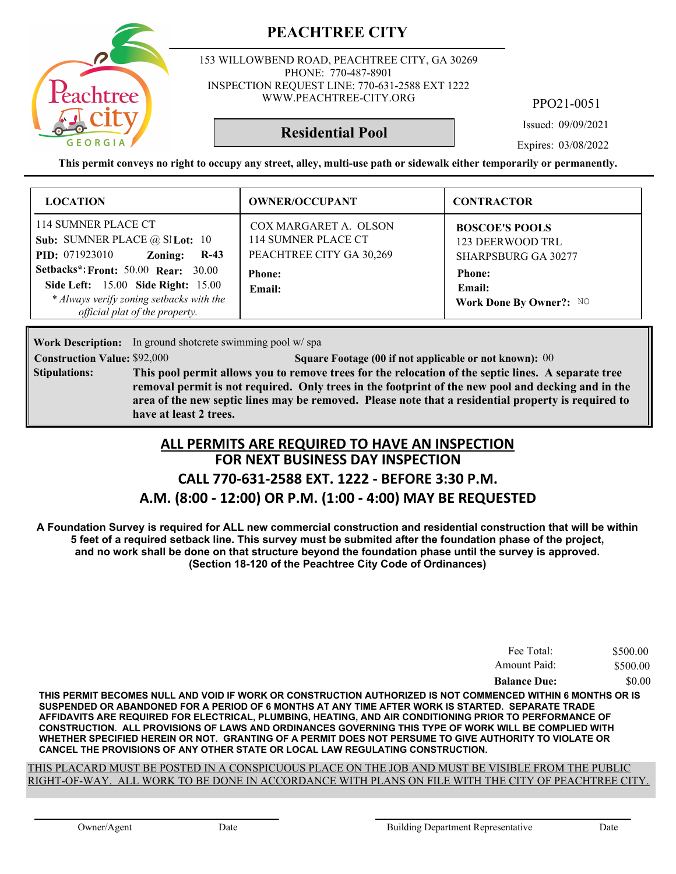

153 WILLOWBEND ROAD, PEACHTREE CITY, GA 30269 PHONE: 770-487-8901 INSPECTION REQUEST LINE: 770-631-2588 EXT 1222 WWW.PEACHTREE-CITY.ORG

PPO21-0051

Issued: 09/09/2021

Expires: 03/08/2022

**This permit conveys no right to occupy any street, alley, multi-use path or sidewalk either temporarily or permanently.**

**Residential Pool**

| <b>LOCATION</b>                                                                                                                                                                                                                                                                       | <b>OWNER/OCCUPANT</b>                                                                               | <b>CONTRACTOR</b>                                                                                                             |
|---------------------------------------------------------------------------------------------------------------------------------------------------------------------------------------------------------------------------------------------------------------------------------------|-----------------------------------------------------------------------------------------------------|-------------------------------------------------------------------------------------------------------------------------------|
| 114 SUMNER PLACE CT<br>Sub: SUMNER PLACE $@$ SI Lot: 10<br><b>PID:</b> 071923010<br>Zoning:<br>$R-43$<br><b>Setbacks*: Front: 50.00 Rear: 30.00</b><br><b>Side Left:</b> 15.00 <b>Side Right:</b> 15.00<br>* Always verify zoning setbacks with the<br>official plat of the property. | COX MARGARET A. OLSON<br>114 SUMNER PLACE CT<br>PEACHTREE CITY GA 30,269<br><b>Phone:</b><br>Email: | <b>BOSCOE'S POOLS</b><br>123 DEERWOOD TRL<br><b>SHARPSBURG GA 30277</b><br><b>Phone:</b><br>Email:<br>Work Done By Owner?: NO |

**Work Description:** In ground shotcrete swimming pool w/spa

**Construction Value:** \$92,000 **000 000 000 000 Square Footage (00 if not applicable or not known): 00** 

**This pool permit allows you to remove trees for the relocation of the septic lines. A separate tree removal permit is not required. Only trees in the footprint of the new pool and decking and in the area of the new septic lines may be removed. Please note that a residential property is required to have at least 2 trees. Stipulations:**

#### **FOR NEXT BUSINESS DAY INSPECTION CALL 770-631-2588 EXT. 1222 - BEFORE 3:30 P.M. ALL PERMITS ARE REQUIRED TO HAVE AN INSPECTION**

# **A.M. (8:00 - 12:00) OR P.M. (1:00 - 4:00) MAY BE REQUESTED**

**A Foundation Survey is required for ALL new commercial construction and residential construction that will be within 5 feet of a required setback line. This survey must be submited after the foundation phase of the project, and no work shall be done on that structure beyond the foundation phase until the survey is approved. (Section 18-120 of the Peachtree City Code of Ordinances)**

| Fee Total:          | \$500.00 |
|---------------------|----------|
| Amount Paid:        | \$500.00 |
| <b>Balance Due:</b> | \$0.00   |

**THIS PERMIT BECOMES NULL AND VOID IF WORK OR CONSTRUCTION AUTHORIZED IS NOT COMMENCED WITHIN 6 MONTHS OR IS SUSPENDED OR ABANDONED FOR A PERIOD OF 6 MONTHS AT ANY TIME AFTER WORK IS STARTED. SEPARATE TRADE AFFIDAVITS ARE REQUIRED FOR ELECTRICAL, PLUMBING, HEATING, AND AIR CONDITIONING PRIOR TO PERFORMANCE OF CONSTRUCTION. ALL PROVISIONS OF LAWS AND ORDINANCES GOVERNING THIS TYPE OF WORK WILL BE COMPLIED WITH WHETHER SPECIFIED HEREIN OR NOT. GRANTING OF A PERMIT DOES NOT PERSUME TO GIVE AUTHORITY TO VIOLATE OR CANCEL THE PROVISIONS OF ANY OTHER STATE OR LOCAL LAW REGULATING CONSTRUCTION.**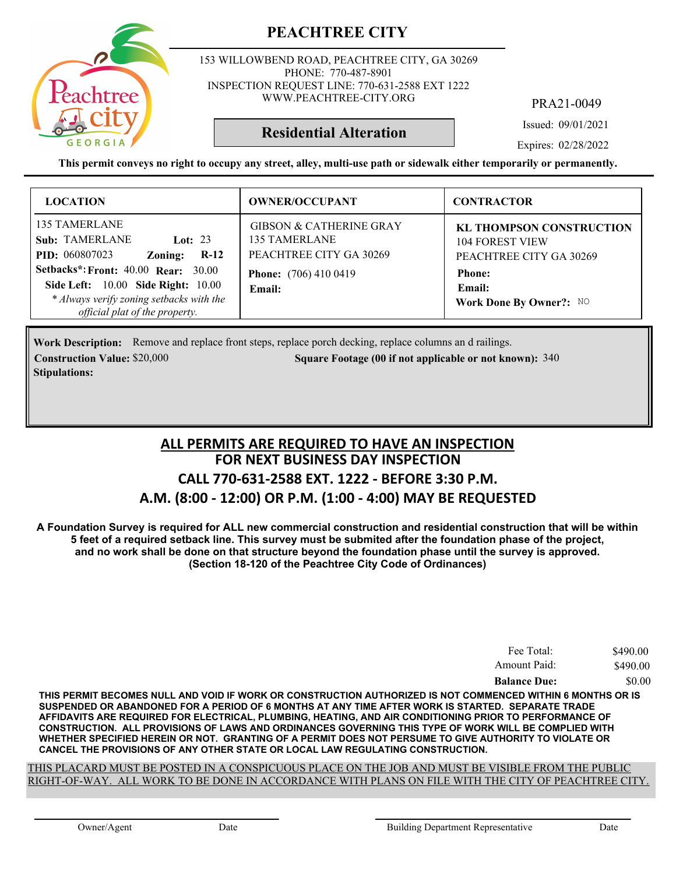153 WILLOWBEND ROAD, PEACHTREE CITY, GA 30269 PHONE: 770-487-8901 INSPECTION REQUEST LINE: 770-631-2588 EXT 1222 WWW.PEACHTREE-CITY.ORG

PRA21-0049

Issued: 09/01/2021

Expires: 02/28/2022

**This permit conveys no right to occupy any street, alley, multi-use path or sidewalk either temporarily or permanently.**

**Residential Alteration**

| <b>LOCATION</b>                                                                                                                                                                                                                                                                          | <b>OWNER/OCCUPANT</b>                                                                                                    | <b>CONTRACTOR</b>                                                                                                                          |
|------------------------------------------------------------------------------------------------------------------------------------------------------------------------------------------------------------------------------------------------------------------------------------------|--------------------------------------------------------------------------------------------------------------------------|--------------------------------------------------------------------------------------------------------------------------------------------|
| <b>135 TAMERLANE</b><br><b>Sub: TAMERLANE</b><br>Lot: $23$<br><b>PID:</b> 060807023<br>$R-12$<br>Zoning:<br><b>Setbacks*: Front: 40.00 Rear: 30.00</b><br><b>Side Left:</b> 10.00 <b>Side Right:</b> 10.00<br>* Always verify zoning setbacks with the<br>official plat of the property. | <b>GIBSON &amp; CATHERINE GRAY</b><br>135 TAMERLANE<br>PEACHTREE CITY GA 30269<br><b>Phone:</b> (706) 410 0419<br>Email: | <b>KL THOMPSON CONSTRUCTION</b><br><b>104 FOREST VIEW</b><br>PEACHTREE CITY GA 30269<br><b>Phone:</b><br>Email:<br>Work Done By Owner?: NO |

Work Description: Remove and replace front steps, replace porch decking, replace columns an d railings. **Construction Value:** \$20,000 340 **Square Footage (00 if not applicable or not known): 340 Stipulations:**

#### **FOR NEXT BUSINESS DAY INSPECTION CALL 770-631-2588 EXT. 1222 - BEFORE 3:30 P.M. A.M. (8:00 - 12:00) OR P.M. (1:00 - 4:00) MAY BE REQUESTED ALL PERMITS ARE REQUIRED TO HAVE AN INSPECTION**

**A Foundation Survey is required for ALL new commercial construction and residential construction that will be within 5 feet of a required setback line. This survey must be submited after the foundation phase of the project, and no work shall be done on that structure beyond the foundation phase until the survey is approved. (Section 18-120 of the Peachtree City Code of Ordinances)**

| Fee Total:          | \$490.00 |
|---------------------|----------|
| Amount Paid:        | \$490.00 |
| <b>Balance Due:</b> | \$0.00   |

**THIS PERMIT BECOMES NULL AND VOID IF WORK OR CONSTRUCTION AUTHORIZED IS NOT COMMENCED WITHIN 6 MONTHS OR IS SUSPENDED OR ABANDONED FOR A PERIOD OF 6 MONTHS AT ANY TIME AFTER WORK IS STARTED. SEPARATE TRADE AFFIDAVITS ARE REQUIRED FOR ELECTRICAL, PLUMBING, HEATING, AND AIR CONDITIONING PRIOR TO PERFORMANCE OF CONSTRUCTION. ALL PROVISIONS OF LAWS AND ORDINANCES GOVERNING THIS TYPE OF WORK WILL BE COMPLIED WITH WHETHER SPECIFIED HEREIN OR NOT. GRANTING OF A PERMIT DOES NOT PERSUME TO GIVE AUTHORITY TO VIOLATE OR CANCEL THE PROVISIONS OF ANY OTHER STATE OR LOCAL LAW REGULATING CONSTRUCTION.**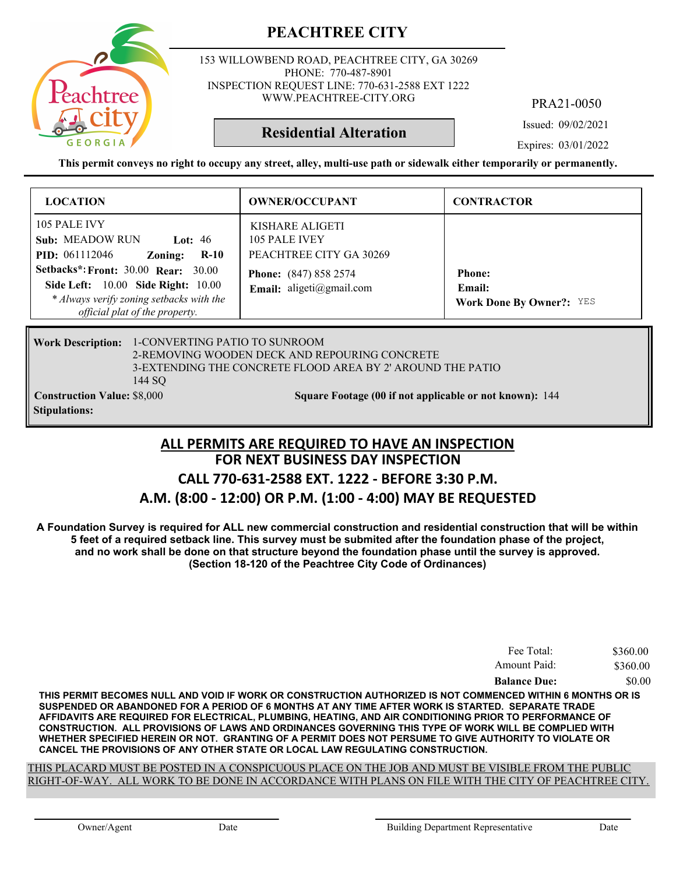

153 WILLOWBEND ROAD, PEACHTREE CITY, GA 30269 PHONE: 770-487-8901 INSPECTION REQUEST LINE: 770-631-2588 EXT 1222 WWW.PEACHTREE-CITY.ORG

PRA21-0050

Issued: 09/02/2021

**Residential Alteration**

Expires: 03/01/2022

**This permit conveys no right to occupy any street, alley, multi-use path or sidewalk either temporarily or permanently.**

| <b>LOCATION</b>                                                                                                                                         | <b>OWNER/OCCUPANT</b>                                       | <b>CONTRACTOR</b>                                                 |
|---------------------------------------------------------------------------------------------------------------------------------------------------------|-------------------------------------------------------------|-------------------------------------------------------------------|
| 105 PALE IVY<br><b>Sub: MEADOW RUN</b><br>Lot: $46$<br><b>PID:</b> 061112046<br>$R-10$<br>Zoning:                                                       | KISHARE ALIGETI<br>105 PALE IVEY<br>PEACHTREE CITY GA 30269 |                                                                   |
| Setbacks*: Front: 30.00 Rear: 30.00<br>Side Left: 10.00 Side Right: 10.00<br>* Always verify zoning setbacks with the<br>official plat of the property. | <b>Phone:</b> (847) 858 2574<br>Email: aligeti@gmail.com    | <b>Phone:</b><br><b>Email:</b><br><b>Work Done By Owner?: YES</b> |

#### 1-CONVERTING PATIO TO SUNROOM **Work Description:** 2-REMOVING WOODEN DECK AND REPOURING CONCRETE 3-EXTENDING THE CONCRETE FLOOD AREA BY 2' AROUND THE PATIO 144 SQ **Construction Value:** \$8,000 144 **Stipulations:**

#### **FOR NEXT BUSINESS DAY INSPECTION CALL 770-631-2588 EXT. 1222 - BEFORE 3:30 P.M. A.M. (8:00 - 12:00) OR P.M. (1:00 - 4:00) MAY BE REQUESTED ALL PERMITS ARE REQUIRED TO HAVE AN INSPECTION**

**A Foundation Survey is required for ALL new commercial construction and residential construction that will be within 5 feet of a required setback line. This survey must be submited after the foundation phase of the project, and no work shall be done on that structure beyond the foundation phase until the survey is approved. (Section 18-120 of the Peachtree City Code of Ordinances)**

| Fee Total:          | \$360.00 |
|---------------------|----------|
| Amount Paid:        | \$360.00 |
| <b>Balance Due:</b> | \$0.00   |

**THIS PERMIT BECOMES NULL AND VOID IF WORK OR CONSTRUCTION AUTHORIZED IS NOT COMMENCED WITHIN 6 MONTHS OR IS SUSPENDED OR ABANDONED FOR A PERIOD OF 6 MONTHS AT ANY TIME AFTER WORK IS STARTED. SEPARATE TRADE AFFIDAVITS ARE REQUIRED FOR ELECTRICAL, PLUMBING, HEATING, AND AIR CONDITIONING PRIOR TO PERFORMANCE OF CONSTRUCTION. ALL PROVISIONS OF LAWS AND ORDINANCES GOVERNING THIS TYPE OF WORK WILL BE COMPLIED WITH WHETHER SPECIFIED HEREIN OR NOT. GRANTING OF A PERMIT DOES NOT PERSUME TO GIVE AUTHORITY TO VIOLATE OR CANCEL THE PROVISIONS OF ANY OTHER STATE OR LOCAL LAW REGULATING CONSTRUCTION.**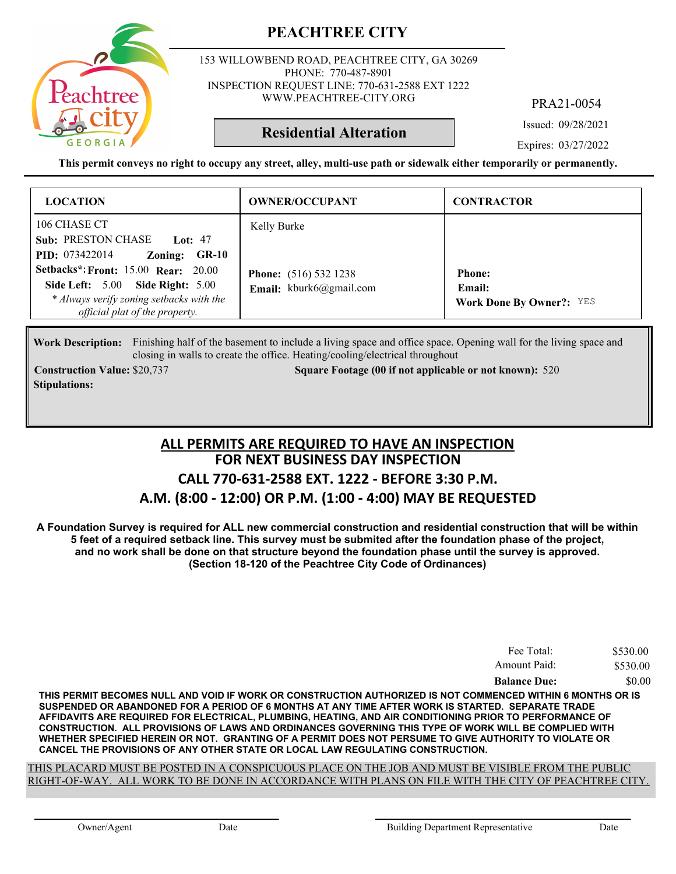

153 WILLOWBEND ROAD, PEACHTREE CITY, GA 30269 PHONE: 770-487-8901 INSPECTION REQUEST LINE: 770-631-2588 EXT 1222 WWW.PEACHTREE-CITY.ORG

PRA21-0054

Issued: 09/28/2021

**Residential Alteration**

Expires: 03/27/2022

**This permit conveys no right to occupy any street, alley, multi-use path or sidewalk either temporarily or permanently.**

| <b>LOCATION</b>                                                                                                                    | <b>OWNER/OCCUPANT</b>                       | <b>CONTRACTOR</b>                         |
|------------------------------------------------------------------------------------------------------------------------------------|---------------------------------------------|-------------------------------------------|
| 106 CHASE CT<br>Sub: PRESTON CHASE Lot: 47<br><b>PID:</b> 073422014<br>Zoning: GR-10<br><b>Setbacks*: Front: 15.00 Rear: 20.00</b> | Kelly Burke<br><b>Phone:</b> (516) 532 1238 | <b>Phone:</b>                             |
| Side Left: 5.00 Side Right: 5.00<br>* Always verify zoning setbacks with the<br>official plat of the property.                     | Email: kburk6@gmail.com                     | Email:<br><b>Work Done By Owner?:</b> YES |

Work Description: Finishing half of the basement to include a living space and office space. Opening wall for the living space and closing in walls to create the office. Heating/cooling/electrical throughout

**Stipulations:**

**Construction Value:** \$20,737 520 **Square Footage (00 if not applicable or not known): 520** 

#### **FOR NEXT BUSINESS DAY INSPECTION CALL 770-631-2588 EXT. 1222 - BEFORE 3:30 P.M. A.M. (8:00 - 12:00) OR P.M. (1:00 - 4:00) MAY BE REQUESTED ALL PERMITS ARE REQUIRED TO HAVE AN INSPECTION**

**A Foundation Survey is required for ALL new commercial construction and residential construction that will be within 5 feet of a required setback line. This survey must be submited after the foundation phase of the project, and no work shall be done on that structure beyond the foundation phase until the survey is approved. (Section 18-120 of the Peachtree City Code of Ordinances)**

| Fee Total:          | \$530.00 |
|---------------------|----------|
| Amount Paid:        | \$530.00 |
| <b>Balance Due:</b> | \$0.00   |

**THIS PERMIT BECOMES NULL AND VOID IF WORK OR CONSTRUCTION AUTHORIZED IS NOT COMMENCED WITHIN 6 MONTHS OR IS SUSPENDED OR ABANDONED FOR A PERIOD OF 6 MONTHS AT ANY TIME AFTER WORK IS STARTED. SEPARATE TRADE AFFIDAVITS ARE REQUIRED FOR ELECTRICAL, PLUMBING, HEATING, AND AIR CONDITIONING PRIOR TO PERFORMANCE OF CONSTRUCTION. ALL PROVISIONS OF LAWS AND ORDINANCES GOVERNING THIS TYPE OF WORK WILL BE COMPLIED WITH WHETHER SPECIFIED HEREIN OR NOT. GRANTING OF A PERMIT DOES NOT PERSUME TO GIVE AUTHORITY TO VIOLATE OR CANCEL THE PROVISIONS OF ANY OTHER STATE OR LOCAL LAW REGULATING CONSTRUCTION.**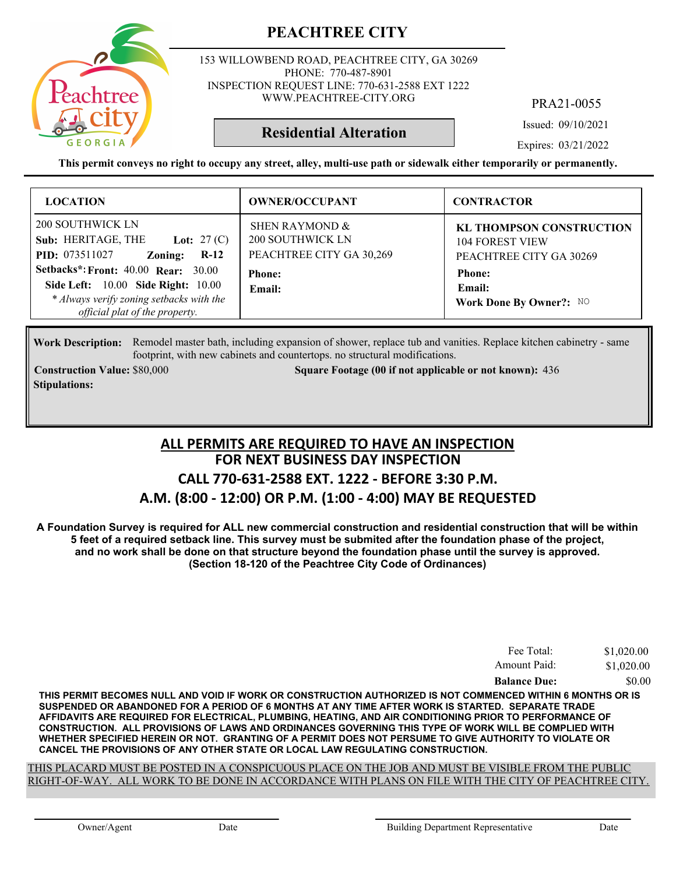

153 WILLOWBEND ROAD, PEACHTREE CITY, GA 30269 PHONE: 770-487-8901 INSPECTION REQUEST LINE: 770-631-2588 EXT 1222 WWW.PEACHTREE-CITY.ORG

PRA21-0055

Issued: 09/10/2021

Expires: 03/21/2022

**This permit conveys no right to occupy any street, alley, multi-use path or sidewalk either temporarily or permanently.**

**Residential Alteration**

| <b>LOCATION</b>                                                                                            | <b>OWNER/OCCUPANT</b>                                                 | <b>CONTRACTOR</b>                                                                    |
|------------------------------------------------------------------------------------------------------------|-----------------------------------------------------------------------|--------------------------------------------------------------------------------------|
| 200 SOUTHWICK LN<br>Sub: HERITAGE, THE<br><b>Lot:</b> 27 (C)<br><b>PID:</b> 073511027<br>$R-12$<br>Zoning: | SHEN RAYMOND &<br><b>200 SOUTHWICK LN</b><br>PEACHTREE CITY GA 30,269 | <b>KL THOMPSON CONSTRUCTION</b><br><b>104 FOREST VIEW</b><br>PEACHTREE CITY GA 30269 |
| <b>Setbacks*: Front: 40.00 Rear: 30.00</b><br>Side Left: 10.00 Side Right: 10.00                           | <b>Phone:</b><br>Email:                                               | <b>Phone:</b><br>Email:                                                              |
| * Always verify zoning setbacks with the<br>official plat of the property.                                 |                                                                       | Work Done By Owner?: NO                                                              |

Work Description: Remodel master bath, including expansion of shower, replace tub and vanities. Replace kitchen cabinetry - same footprint, with new cabinets and countertops. no structural modifications.

**Stipulations:**

**Construction Value:** \$80,000 436 Square Footage (00 if not applicable or not known): 436

#### **FOR NEXT BUSINESS DAY INSPECTION CALL 770-631-2588 EXT. 1222 - BEFORE 3:30 P.M. A.M. (8:00 - 12:00) OR P.M. (1:00 - 4:00) MAY BE REQUESTED ALL PERMITS ARE REQUIRED TO HAVE AN INSPECTION**

**A Foundation Survey is required for ALL new commercial construction and residential construction that will be within 5 feet of a required setback line. This survey must be submited after the foundation phase of the project, and no work shall be done on that structure beyond the foundation phase until the survey is approved. (Section 18-120 of the Peachtree City Code of Ordinances)**

| Fee Total:          | \$1,020.00 |
|---------------------|------------|
| Amount Paid:        | \$1,020.00 |
| <b>Balance Due:</b> | \$0.00     |

**THIS PERMIT BECOMES NULL AND VOID IF WORK OR CONSTRUCTION AUTHORIZED IS NOT COMMENCED WITHIN 6 MONTHS OR IS SUSPENDED OR ABANDONED FOR A PERIOD OF 6 MONTHS AT ANY TIME AFTER WORK IS STARTED. SEPARATE TRADE AFFIDAVITS ARE REQUIRED FOR ELECTRICAL, PLUMBING, HEATING, AND AIR CONDITIONING PRIOR TO PERFORMANCE OF CONSTRUCTION. ALL PROVISIONS OF LAWS AND ORDINANCES GOVERNING THIS TYPE OF WORK WILL BE COMPLIED WITH WHETHER SPECIFIED HEREIN OR NOT. GRANTING OF A PERMIT DOES NOT PERSUME TO GIVE AUTHORITY TO VIOLATE OR CANCEL THE PROVISIONS OF ANY OTHER STATE OR LOCAL LAW REGULATING CONSTRUCTION.**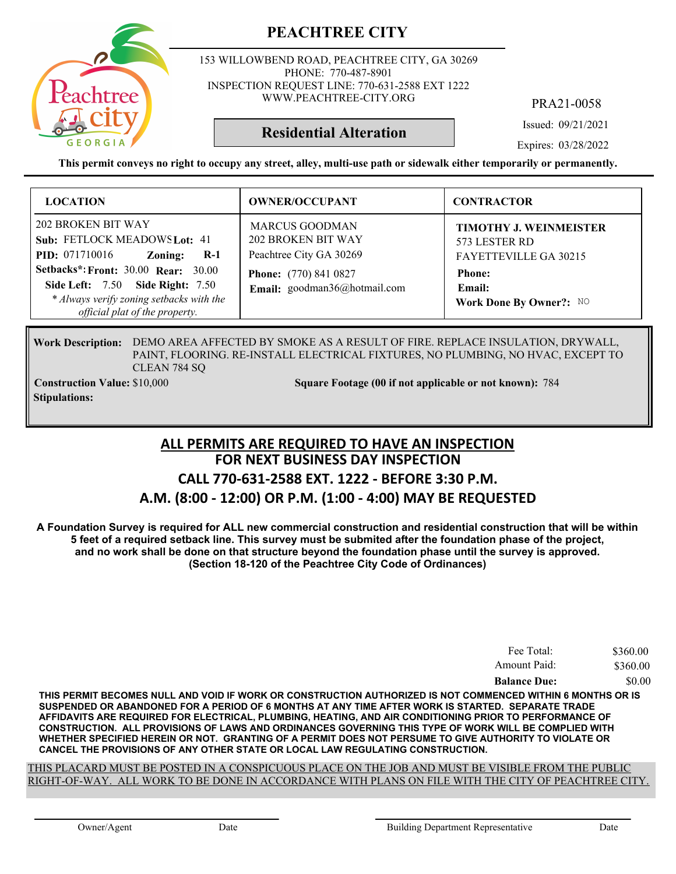

153 WILLOWBEND ROAD, PEACHTREE CITY, GA 30269 PHONE: 770-487-8901 INSPECTION REQUEST LINE: 770-631-2588 EXT 1222 WWW.PEACHTREE-CITY.ORG

PRA21-0058

Issued: 09/21/2021

**Residential Alteration**

Expires: 03/28/2022

**This permit conveys no right to occupy any street, alley, multi-use path or sidewalk either temporarily or permanently.**

| <b>LOCATION</b>                                                                                                                               | <b>OWNER/OCCUPANT</b>                                                  | <b>CONTRACTOR</b>                                                       |
|-----------------------------------------------------------------------------------------------------------------------------------------------|------------------------------------------------------------------------|-------------------------------------------------------------------------|
| 202 BROKEN BIT WAY<br>Sub: FETLOCK MEADOWS Lot: 41<br><b>PID:</b> 071710016<br>$R-1$<br>Zoning:<br><b>Setbacks*: Front: 30.00 Rear: 30.00</b> | <b>MARCUS GOODMAN</b><br>202 BROKEN BIT WAY<br>Peachtree City GA 30269 | TIMOTHY J. WEINMEISTER<br>573 LESTER RD<br><b>FAYETTEVILLE GA 30215</b> |
| <b>Side Left: 7.50 Side Right: 7.50</b><br>* Always verify zoning setbacks with the<br>official plat of the property.                         | <b>Phone:</b> (770) 841 0827<br>Email: goodman36@hotmail.com           | <b>Phone:</b><br>Email:<br>Work Done By Owner?: NO                      |

Work Description: DEMO AREA AFFECTED BY SMOKE AS A RESULT OF FIRE. REPLACE INSULATION, DRYWALL, PAINT, FLOORING. RE-INSTALL ELECTRICAL FIXTURES, NO PLUMBING, NO HVAC, EXCEPT TO CLEAN 784 SQ

**Stipulations:**

**Construction Value:** \$10,000 784 **Square Footage (00 if not applicable or not known): 784** 

#### **FOR NEXT BUSINESS DAY INSPECTION CALL 770-631-2588 EXT. 1222 - BEFORE 3:30 P.M. A.M. (8:00 - 12:00) OR P.M. (1:00 - 4:00) MAY BE REQUESTED ALL PERMITS ARE REQUIRED TO HAVE AN INSPECTION**

**A Foundation Survey is required for ALL new commercial construction and residential construction that will be within 5 feet of a required setback line. This survey must be submited after the foundation phase of the project, and no work shall be done on that structure beyond the foundation phase until the survey is approved. (Section 18-120 of the Peachtree City Code of Ordinances)**

| Fee Total:          | \$360.00 |
|---------------------|----------|
| Amount Paid:        | \$360.00 |
| <b>Balance Due:</b> | \$0.00   |

**THIS PERMIT BECOMES NULL AND VOID IF WORK OR CONSTRUCTION AUTHORIZED IS NOT COMMENCED WITHIN 6 MONTHS OR IS SUSPENDED OR ABANDONED FOR A PERIOD OF 6 MONTHS AT ANY TIME AFTER WORK IS STARTED. SEPARATE TRADE AFFIDAVITS ARE REQUIRED FOR ELECTRICAL, PLUMBING, HEATING, AND AIR CONDITIONING PRIOR TO PERFORMANCE OF CONSTRUCTION. ALL PROVISIONS OF LAWS AND ORDINANCES GOVERNING THIS TYPE OF WORK WILL BE COMPLIED WITH WHETHER SPECIFIED HEREIN OR NOT. GRANTING OF A PERMIT DOES NOT PERSUME TO GIVE AUTHORITY TO VIOLATE OR CANCEL THE PROVISIONS OF ANY OTHER STATE OR LOCAL LAW REGULATING CONSTRUCTION.**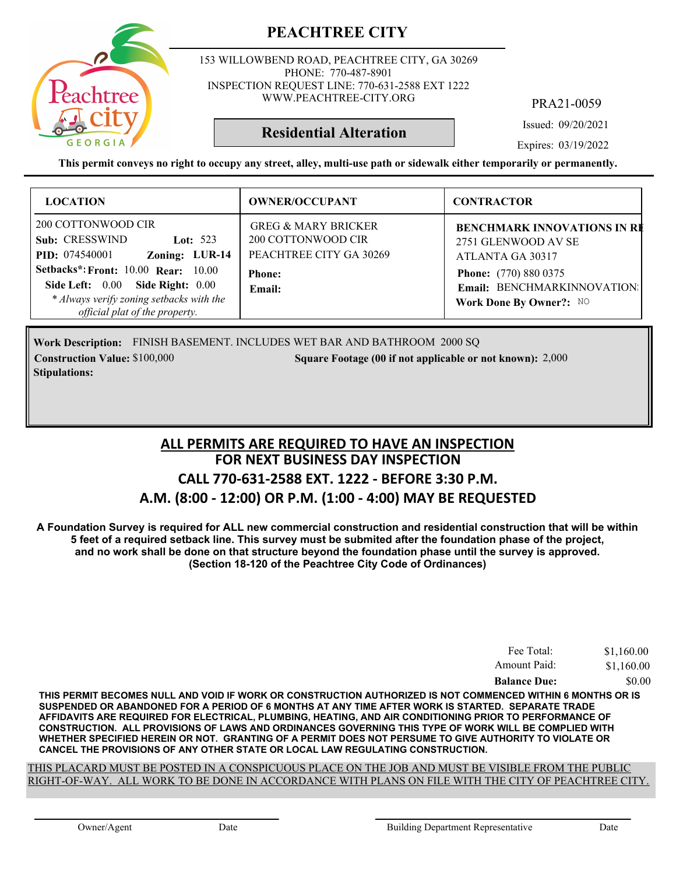

153 WILLOWBEND ROAD, PEACHTREE CITY, GA 30269 PHONE: 770-487-8901 INSPECTION REQUEST LINE: 770-631-2588 EXT 1222 WWW.PEACHTREE-CITY.ORG

PRA21-0059

Issued: 09/20/2021

Expires: 03/19/2022

**This permit conveys no right to occupy any street, alley, multi-use path or sidewalk either temporarily or permanently.**

**Residential Alteration**

| <b>LOCATION</b>                                                                                                                                                                                                                                                    | <b>OWNER/OCCUPANT</b>                                                                                      | <b>CONTRACTOR</b>                                                                                                                                                       |
|--------------------------------------------------------------------------------------------------------------------------------------------------------------------------------------------------------------------------------------------------------------------|------------------------------------------------------------------------------------------------------------|-------------------------------------------------------------------------------------------------------------------------------------------------------------------------|
| 200 COTTONWOOD CIR<br>Sub: CRESSWIND<br>Lot: $523$<br>Zoning: LUR-14<br><b>PID:</b> 074540001<br>Setbacks*: Front: 10.00 Rear: 10.00<br><b>Side Right: 0.00</b><br>Side Left: $0.00$<br>* Always verify zoning setbacks with the<br>official plat of the property. | <b>GREG &amp; MARY BRICKER</b><br>200 COTTONWOOD CIR<br>PEACHTREE CITY GA 30269<br><b>Phone:</b><br>Email: | <b>BENCHMARK INNOVATIONS IN RE</b><br>2751 GLENWOOD AV SE<br>ATLANTA GA 30317<br><b>Phone:</b> (770) 880 0375<br>Email: BENCHMARKINNOVATION:<br>Work Done By Owner?: NO |

Work Description: FINISH BASEMENT. INCLUDES WET BAR AND BATHROOM 2000 SQ **Construction Value:** \$100,000 2,000 Square Footage (00 if not applicable or not known): 2,000 **Stipulations:**

#### **FOR NEXT BUSINESS DAY INSPECTION CALL 770-631-2588 EXT. 1222 - BEFORE 3:30 P.M. A.M. (8:00 - 12:00) OR P.M. (1:00 - 4:00) MAY BE REQUESTED ALL PERMITS ARE REQUIRED TO HAVE AN INSPECTION**

**A Foundation Survey is required for ALL new commercial construction and residential construction that will be within 5 feet of a required setback line. This survey must be submited after the foundation phase of the project, and no work shall be done on that structure beyond the foundation phase until the survey is approved. (Section 18-120 of the Peachtree City Code of Ordinances)**

| Fee Total:          | \$1,160.00 |
|---------------------|------------|
| Amount Paid:        | \$1,160.00 |
| <b>Balance Due:</b> | \$0.00     |

**THIS PERMIT BECOMES NULL AND VOID IF WORK OR CONSTRUCTION AUTHORIZED IS NOT COMMENCED WITHIN 6 MONTHS OR IS SUSPENDED OR ABANDONED FOR A PERIOD OF 6 MONTHS AT ANY TIME AFTER WORK IS STARTED. SEPARATE TRADE AFFIDAVITS ARE REQUIRED FOR ELECTRICAL, PLUMBING, HEATING, AND AIR CONDITIONING PRIOR TO PERFORMANCE OF CONSTRUCTION. ALL PROVISIONS OF LAWS AND ORDINANCES GOVERNING THIS TYPE OF WORK WILL BE COMPLIED WITH WHETHER SPECIFIED HEREIN OR NOT. GRANTING OF A PERMIT DOES NOT PERSUME TO GIVE AUTHORITY TO VIOLATE OR CANCEL THE PROVISIONS OF ANY OTHER STATE OR LOCAL LAW REGULATING CONSTRUCTION.**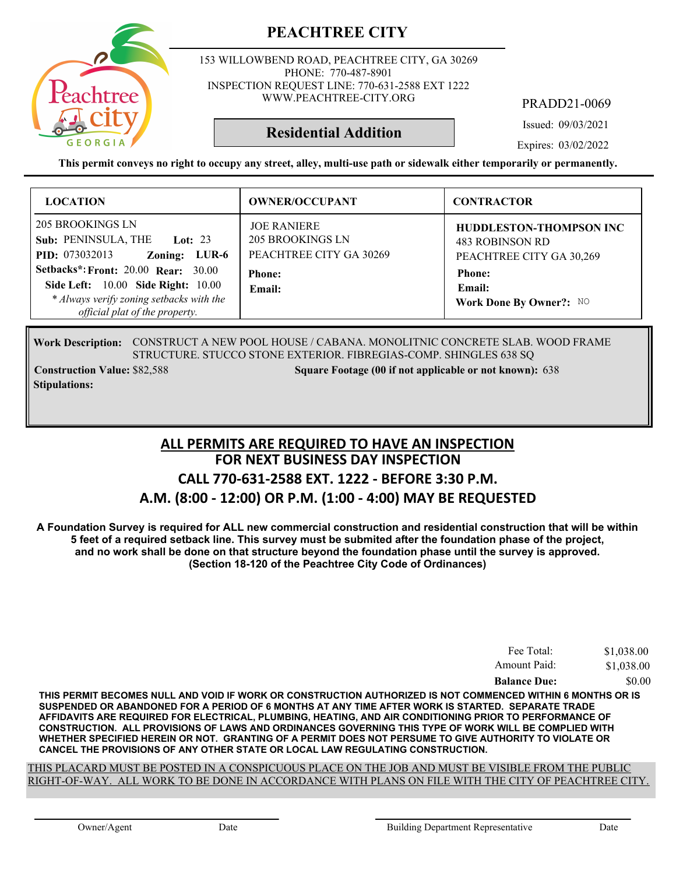

153 WILLOWBEND ROAD, PEACHTREE CITY, GA 30269 PHONE: 770-487-8901 INSPECTION REQUEST LINE: 770-631-2588 EXT 1222 WWW.PEACHTREE-CITY.ORG

PRADD21-0069

Issued: 09/03/2021

Expires: 03/02/2022

**This permit conveys no right to occupy any street, alley, multi-use path or sidewalk either temporarily or permanently.**

**Residential Addition**

| <b>LOCATION</b>                                                                                                                                                | <b>OWNER/OCCUPANT</b>                                             | <b>CONTRACTOR</b>                                                                    |
|----------------------------------------------------------------------------------------------------------------------------------------------------------------|-------------------------------------------------------------------|--------------------------------------------------------------------------------------|
| 205 BROOKINGS LN<br>Sub: PENINSULA, THE Lot: 23<br><b>PID:</b> 073032013<br>Zoning: LUR-6                                                                      | <b>JOE RANIERE</b><br>205 BROOKINGS LN<br>PEACHTREE CITY GA 30269 | <b>HUDDLESTON-THOMPSON INC</b><br><b>483 ROBINSON RD</b><br>PEACHTREE CITY GA 30,269 |
| <b>Setbacks*: Front: 20.00 Rear: 30.00</b><br>Side Left: 10.00 Side Right: 10.00<br>* Always verify zoning setbacks with the<br>official plat of the property. | <b>Phone:</b><br>Email:                                           | <b>Phone:</b><br>Email:<br>Work Done By Owner?: NO                                   |

Work Description: CONSTRUCT A NEW POOL HOUSE / CABANA. MONOLITNIC CONCRETE SLAB. WOOD FRAME STRUCTURE. STUCCO STONE EXTERIOR. FIBREGIAS-COMP. SHINGLES 638 SQ

**Stipulations:**

**Construction Value:** \$82,588 **638 Square Footage (00 if not applicable or not known): 638** 

#### **FOR NEXT BUSINESS DAY INSPECTION CALL 770-631-2588 EXT. 1222 - BEFORE 3:30 P.M. A.M. (8:00 - 12:00) OR P.M. (1:00 - 4:00) MAY BE REQUESTED ALL PERMITS ARE REQUIRED TO HAVE AN INSPECTION**

**A Foundation Survey is required for ALL new commercial construction and residential construction that will be within 5 feet of a required setback line. This survey must be submited after the foundation phase of the project, and no work shall be done on that structure beyond the foundation phase until the survey is approved. (Section 18-120 of the Peachtree City Code of Ordinances)**

| Fee Total:          | \$1,038.00 |
|---------------------|------------|
| Amount Paid:        | \$1,038.00 |
| <b>Balance Due:</b> | \$0.00     |

**THIS PERMIT BECOMES NULL AND VOID IF WORK OR CONSTRUCTION AUTHORIZED IS NOT COMMENCED WITHIN 6 MONTHS OR IS SUSPENDED OR ABANDONED FOR A PERIOD OF 6 MONTHS AT ANY TIME AFTER WORK IS STARTED. SEPARATE TRADE AFFIDAVITS ARE REQUIRED FOR ELECTRICAL, PLUMBING, HEATING, AND AIR CONDITIONING PRIOR TO PERFORMANCE OF CONSTRUCTION. ALL PROVISIONS OF LAWS AND ORDINANCES GOVERNING THIS TYPE OF WORK WILL BE COMPLIED WITH WHETHER SPECIFIED HEREIN OR NOT. GRANTING OF A PERMIT DOES NOT PERSUME TO GIVE AUTHORITY TO VIOLATE OR CANCEL THE PROVISIONS OF ANY OTHER STATE OR LOCAL LAW REGULATING CONSTRUCTION.**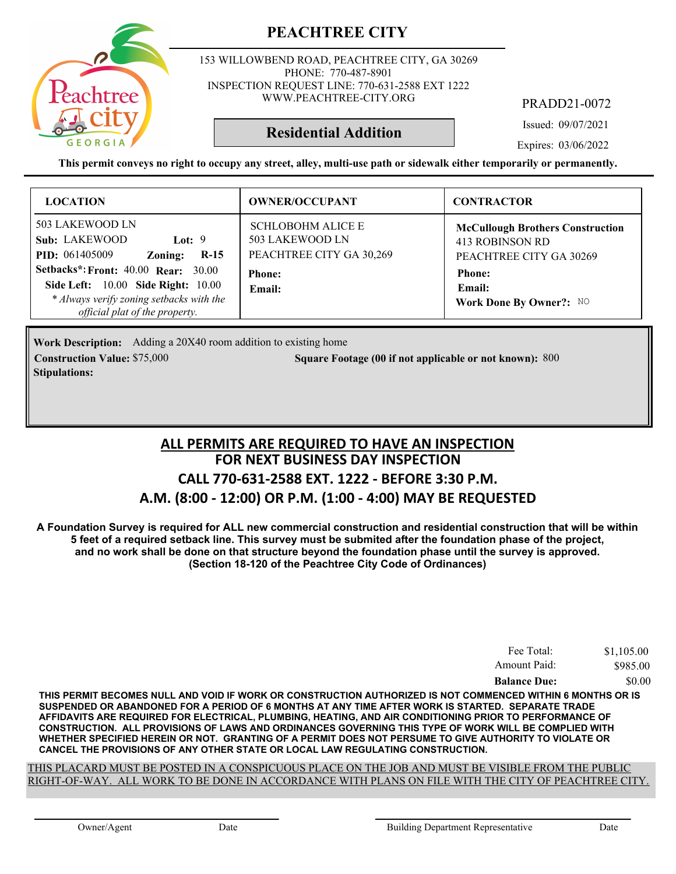

153 WILLOWBEND ROAD, PEACHTREE CITY, GA 30269 PHONE: 770-487-8901 INSPECTION REQUEST LINE: 770-631-2588 EXT 1222 WWW.PEACHTREE-CITY.ORG

PRADD21-0072

Issued: 09/07/2021

Expires: 03/06/2022

**This permit conveys no right to occupy any street, alley, multi-use path or sidewalk either temporarily or permanently.**

**Residential Addition**

| <b>LOCATION</b>                                                                                                                                                                                                                          | <b>OWNER/OCCUPANT</b>                                                                              | <b>CONTRACTOR</b>                                                                                                                           |
|------------------------------------------------------------------------------------------------------------------------------------------------------------------------------------------------------------------------------------------|----------------------------------------------------------------------------------------------------|---------------------------------------------------------------------------------------------------------------------------------------------|
| 503 LAKEWOOD LN<br>Sub: LAKEWOOD<br>Lot: $9$<br>$R-15$<br><b>PID:</b> 061405009<br>Zoning:<br><b>Setbacks*: Front: 40.00 Rear: 30.00</b><br><b>Side Left:</b> 10.00 <b>Side Right:</b> 10.00<br>* Always verify zoning setbacks with the | <b>SCHLOBOHM ALICE E</b><br>503 LAKEWOOD LN<br>PEACHTREE CITY GA 30,269<br><b>Phone:</b><br>Email: | <b>McCullough Brothers Construction</b><br>413 ROBINSON RD<br>PEACHTREE CITY GA 30269<br><b>Phone:</b><br>Email:<br>Work Done By Owner?: NO |
| official plat of the property.                                                                                                                                                                                                           |                                                                                                    |                                                                                                                                             |

Work Description: Adding a 20X40 room addition to existing home **Construction Value: Square Footage (00 if not applicable or not known):** \$75,000 800 **Stipulations:**

#### **FOR NEXT BUSINESS DAY INSPECTION CALL 770-631-2588 EXT. 1222 - BEFORE 3:30 P.M. A.M. (8:00 - 12:00) OR P.M. (1:00 - 4:00) MAY BE REQUESTED ALL PERMITS ARE REQUIRED TO HAVE AN INSPECTION**

**A Foundation Survey is required for ALL new commercial construction and residential construction that will be within 5 feet of a required setback line. This survey must be submited after the foundation phase of the project, and no work shall be done on that structure beyond the foundation phase until the survey is approved. (Section 18-120 of the Peachtree City Code of Ordinances)**

| Fee Total:          | \$1,105.00 |
|---------------------|------------|
| Amount Paid:        | \$985.00   |
| <b>Balance Due:</b> | \$0.00     |

**THIS PERMIT BECOMES NULL AND VOID IF WORK OR CONSTRUCTION AUTHORIZED IS NOT COMMENCED WITHIN 6 MONTHS OR IS SUSPENDED OR ABANDONED FOR A PERIOD OF 6 MONTHS AT ANY TIME AFTER WORK IS STARTED. SEPARATE TRADE AFFIDAVITS ARE REQUIRED FOR ELECTRICAL, PLUMBING, HEATING, AND AIR CONDITIONING PRIOR TO PERFORMANCE OF CONSTRUCTION. ALL PROVISIONS OF LAWS AND ORDINANCES GOVERNING THIS TYPE OF WORK WILL BE COMPLIED WITH WHETHER SPECIFIED HEREIN OR NOT. GRANTING OF A PERMIT DOES NOT PERSUME TO GIVE AUTHORITY TO VIOLATE OR CANCEL THE PROVISIONS OF ANY OTHER STATE OR LOCAL LAW REGULATING CONSTRUCTION.**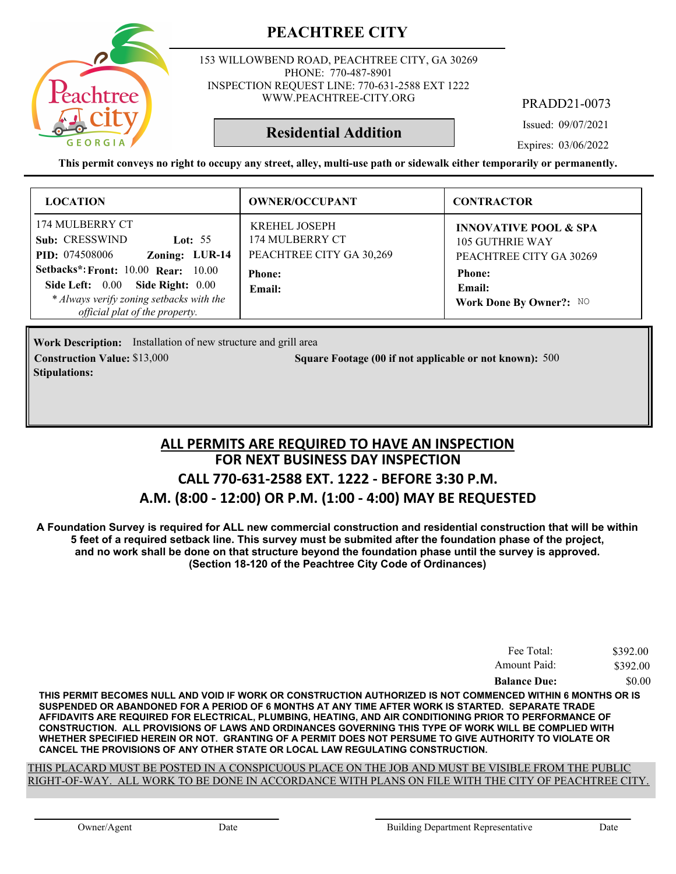

153 WILLOWBEND ROAD, PEACHTREE CITY, GA 30269 PHONE: 770-487-8901 INSPECTION REQUEST LINE: 770-631-2588 EXT 1222 WWW.PEACHTREE-CITY.ORG

PRADD21-0073

Issued: 09/07/2021

Expires: 03/06/2022

**This permit conveys no right to occupy any street, alley, multi-use path or sidewalk either temporarily or permanently.**

**Residential Addition**

| <b>LOCATION</b>                                                                                                                                                                                                                                              | <b>OWNER/OCCUPANT</b>                                                                          | <b>CONTRACTOR</b>                                                                                                                    |
|--------------------------------------------------------------------------------------------------------------------------------------------------------------------------------------------------------------------------------------------------------------|------------------------------------------------------------------------------------------------|--------------------------------------------------------------------------------------------------------------------------------------|
| 174 MULBERRY CT<br>Sub: CRESSWIND<br>Lot: $55$<br>Zoning: LUR-14<br><b>PID:</b> 074508006<br><b>Setbacks*: Front: 10.00 Rear: 10.00</b><br>Side Right: 0.00<br>Side Left: 0.00<br>* Always verify zoning setbacks with the<br>official plat of the property. | <b>KREHEL JOSEPH</b><br>174 MULBERRY CT<br>PEACHTREE CITY GA 30,269<br><b>Phone:</b><br>Email: | <b>INNOVATIVE POOL &amp; SPA</b><br>105 GUTHRIE WAY<br>PEACHTREE CITY GA 30269<br><b>Phone:</b><br>Email:<br>Work Done By Owner?: NO |

**Work Description:** Installation of new structure and grill area **Construction Value: Square Footage (00 if not applicable or not known):** \$13,000 500 **Stipulations:**

#### **FOR NEXT BUSINESS DAY INSPECTION CALL 770-631-2588 EXT. 1222 - BEFORE 3:30 P.M. A.M. (8:00 - 12:00) OR P.M. (1:00 - 4:00) MAY BE REQUESTED ALL PERMITS ARE REQUIRED TO HAVE AN INSPECTION**

**A Foundation Survey is required for ALL new commercial construction and residential construction that will be within 5 feet of a required setback line. This survey must be submited after the foundation phase of the project, and no work shall be done on that structure beyond the foundation phase until the survey is approved. (Section 18-120 of the Peachtree City Code of Ordinances)**

| Fee Total:          | \$392.00 |
|---------------------|----------|
| Amount Paid:        | \$392.00 |
| <b>Balance Due:</b> | \$0.00   |

**THIS PERMIT BECOMES NULL AND VOID IF WORK OR CONSTRUCTION AUTHORIZED IS NOT COMMENCED WITHIN 6 MONTHS OR IS SUSPENDED OR ABANDONED FOR A PERIOD OF 6 MONTHS AT ANY TIME AFTER WORK IS STARTED. SEPARATE TRADE AFFIDAVITS ARE REQUIRED FOR ELECTRICAL, PLUMBING, HEATING, AND AIR CONDITIONING PRIOR TO PERFORMANCE OF CONSTRUCTION. ALL PROVISIONS OF LAWS AND ORDINANCES GOVERNING THIS TYPE OF WORK WILL BE COMPLIED WITH WHETHER SPECIFIED HEREIN OR NOT. GRANTING OF A PERMIT DOES NOT PERSUME TO GIVE AUTHORITY TO VIOLATE OR CANCEL THE PROVISIONS OF ANY OTHER STATE OR LOCAL LAW REGULATING CONSTRUCTION.**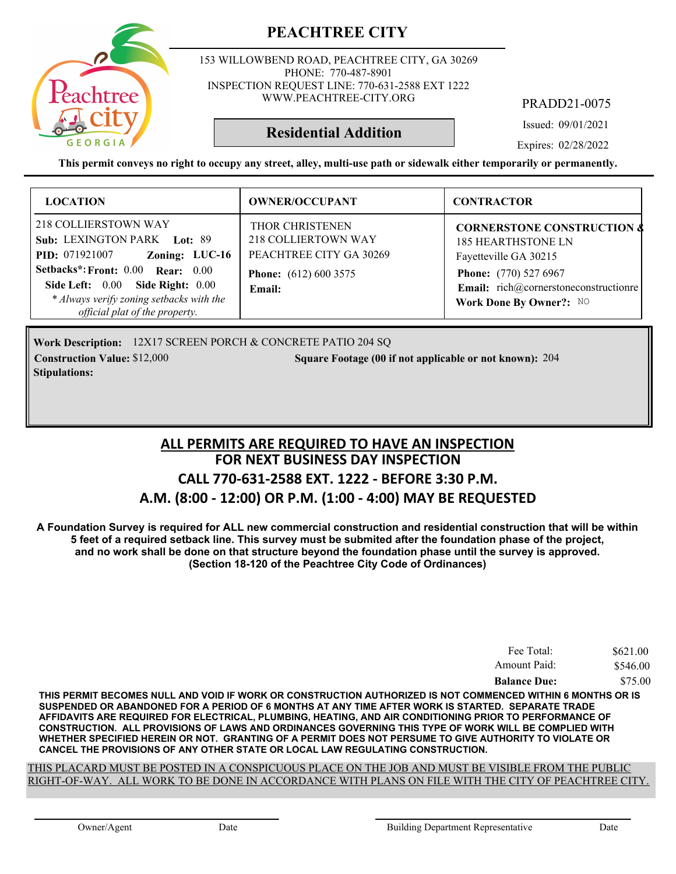

153 WILLOWBEND ROAD, PEACHTREE CITY, GA 30269 PHONE: 770-487-8901 INSPECTION REQUEST LINE: 770-631-2588 EXT 1222 WWW.PEACHTREE-CITY.ORG

PRADD21-0075

Issued: 09/01/2021

Expires: 02/28/2022

**This permit conveys no right to occupy any street, alley, multi-use path or sidewalk either temporarily or permanently.**

**Residential Addition**

| <b>LOCATION</b>                                                                                                                                               | <b>OWNER/OCCUPANT</b>                                             | <b>CONTRACTOR</b>                                                                           |
|---------------------------------------------------------------------------------------------------------------------------------------------------------------|-------------------------------------------------------------------|---------------------------------------------------------------------------------------------|
| 218 COLLIERSTOWN WAY<br>Sub: LEXINGTON PARK Lot: 89<br><b>PID:</b> 071921007<br>Zoning: LUC-16                                                                | THOR CHRISTENEN<br>218 COLLIERTOWN WAY<br>PEACHTREE CITY GA 30269 | <b>CORNERSTONE CONSTRUCTION &amp;</b><br><b>185 HEARTHSTONE LN</b><br>Fayetteville GA 30215 |
| Setbacks*: Front: 0.00 Rear: 0.00<br><b>Side Right: 0.00</b><br>Side Left: 0.00<br>* Always verify zoning setbacks with the<br>official plat of the property. | <b>Phone:</b> (612) 600 3575<br><b>Email:</b>                     | Phone: (770) 527 6967<br>Email: rich@cornerstoneconstructionre<br>Work Done By Owner?: NO   |

Work Description: 12X17 SCREEN PORCH & CONCRETE PATIO 204 SQ **Construction Value:** \$12,000 204 **204** 204 Square Footage (00 if not applicable or not known): 204 **Stipulations:**

#### **FOR NEXT BUSINESS DAY INSPECTION CALL 770-631-2588 EXT. 1222 - BEFORE 3:30 P.M. A.M. (8:00 - 12:00) OR P.M. (1:00 - 4:00) MAY BE REQUESTED ALL PERMITS ARE REQUIRED TO HAVE AN INSPECTION**

**A Foundation Survey is required for ALL new commercial construction and residential construction that will be within 5 feet of a required setback line. This survey must be submited after the foundation phase of the project, and no work shall be done on that structure beyond the foundation phase until the survey is approved. (Section 18-120 of the Peachtree City Code of Ordinances)**

| Fee Total:          | \$621.00 |
|---------------------|----------|
| Amount Paid:        | \$546.00 |
| <b>Balance Due:</b> | \$75.00  |

**THIS PERMIT BECOMES NULL AND VOID IF WORK OR CONSTRUCTION AUTHORIZED IS NOT COMMENCED WITHIN 6 MONTHS OR IS SUSPENDED OR ABANDONED FOR A PERIOD OF 6 MONTHS AT ANY TIME AFTER WORK IS STARTED. SEPARATE TRADE AFFIDAVITS ARE REQUIRED FOR ELECTRICAL, PLUMBING, HEATING, AND AIR CONDITIONING PRIOR TO PERFORMANCE OF CONSTRUCTION. ALL PROVISIONS OF LAWS AND ORDINANCES GOVERNING THIS TYPE OF WORK WILL BE COMPLIED WITH WHETHER SPECIFIED HEREIN OR NOT. GRANTING OF A PERMIT DOES NOT PERSUME TO GIVE AUTHORITY TO VIOLATE OR CANCEL THE PROVISIONS OF ANY OTHER STATE OR LOCAL LAW REGULATING CONSTRUCTION.**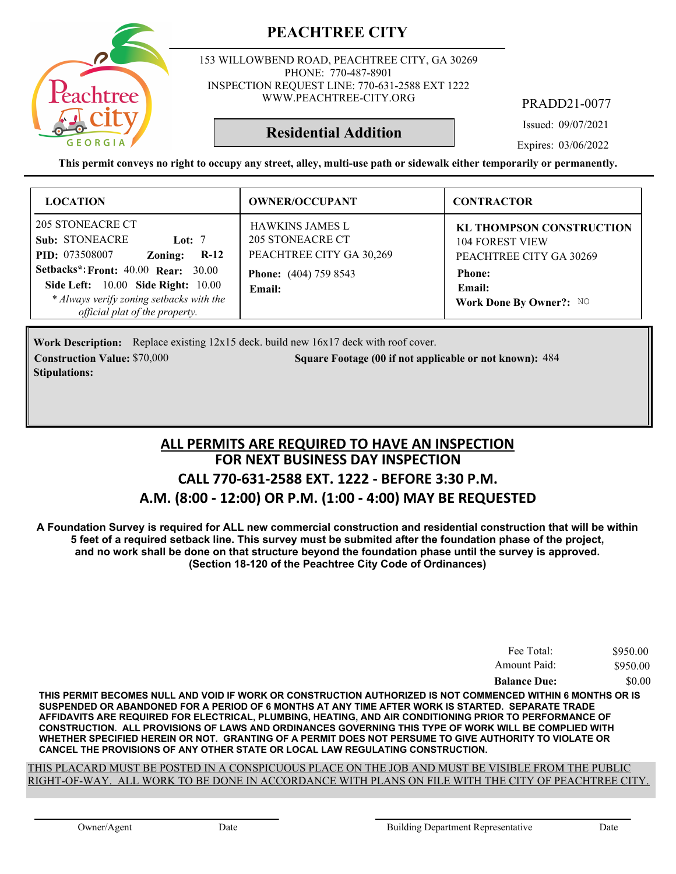

153 WILLOWBEND ROAD, PEACHTREE CITY, GA 30269 PHONE: 770-487-8901 INSPECTION REQUEST LINE: 770-631-2588 EXT 1222 WWW.PEACHTREE-CITY.ORG

PRADD21-0077

Issued: 09/07/2021

Expires: 03/06/2022

**This permit conveys no right to occupy any street, alley, multi-use path or sidewalk either temporarily or permanently.**

**Residential Addition**

| <b>LOCATION</b>                                                                                                                                                       | <b>OWNER/OCCUPANT</b>                                                  | <b>CONTRACTOR</b>                                                                    |
|-----------------------------------------------------------------------------------------------------------------------------------------------------------------------|------------------------------------------------------------------------|--------------------------------------------------------------------------------------|
| 205 STONEACRE CT<br><b>Sub: STONEACRE</b><br>Lot: $7$<br><b>PID:</b> 073508007<br>$R-12$<br>Zoning:                                                                   | <b>HAWKINS JAMES L</b><br>205 STONEACRE CT<br>PEACHTREE CITY GA 30,269 | <b>KL THOMPSON CONSTRUCTION</b><br><b>104 FOREST VIEW</b><br>PEACHTREE CITY GA 30269 |
| Setbacks*: Front: 40.00 Rear: 30.00<br><b>Side Left:</b> 10.00 <b>Side Right:</b> 10.00<br>* Always verify zoning setbacks with the<br>official plat of the property. | <b>Phone:</b> (404) 759 8543<br>Email:                                 | <b>Phone:</b><br>Email:<br>Work Done By Owner?: NO                                   |

**Work Description:** Replace existing 12x15 deck. build new 16x17 deck with roof cover. **Construction Value:** \$70,000 484 **Square Footage (00 if not applicable or not known): 484 Stipulations:**

#### **FOR NEXT BUSINESS DAY INSPECTION CALL 770-631-2588 EXT. 1222 - BEFORE 3:30 P.M. A.M. (8:00 - 12:00) OR P.M. (1:00 - 4:00) MAY BE REQUESTED ALL PERMITS ARE REQUIRED TO HAVE AN INSPECTION**

**A Foundation Survey is required for ALL new commercial construction and residential construction that will be within 5 feet of a required setback line. This survey must be submited after the foundation phase of the project, and no work shall be done on that structure beyond the foundation phase until the survey is approved. (Section 18-120 of the Peachtree City Code of Ordinances)**

| Fee Total:          | \$950.00 |
|---------------------|----------|
| Amount Paid:        | \$950.00 |
| <b>Balance Due:</b> | \$0.00   |

**THIS PERMIT BECOMES NULL AND VOID IF WORK OR CONSTRUCTION AUTHORIZED IS NOT COMMENCED WITHIN 6 MONTHS OR IS SUSPENDED OR ABANDONED FOR A PERIOD OF 6 MONTHS AT ANY TIME AFTER WORK IS STARTED. SEPARATE TRADE AFFIDAVITS ARE REQUIRED FOR ELECTRICAL, PLUMBING, HEATING, AND AIR CONDITIONING PRIOR TO PERFORMANCE OF CONSTRUCTION. ALL PROVISIONS OF LAWS AND ORDINANCES GOVERNING THIS TYPE OF WORK WILL BE COMPLIED WITH WHETHER SPECIFIED HEREIN OR NOT. GRANTING OF A PERMIT DOES NOT PERSUME TO GIVE AUTHORITY TO VIOLATE OR CANCEL THE PROVISIONS OF ANY OTHER STATE OR LOCAL LAW REGULATING CONSTRUCTION.**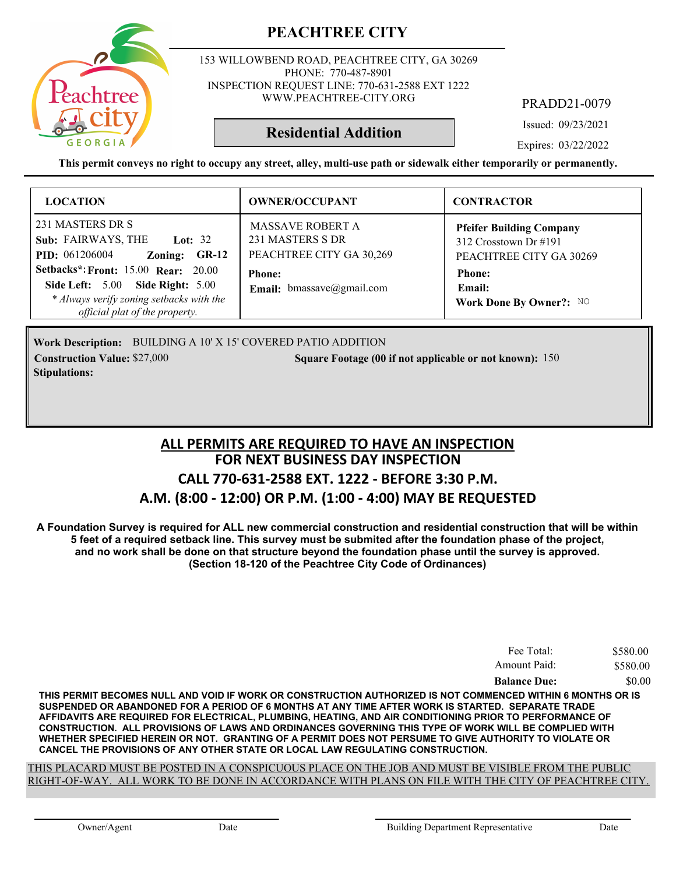

153 WILLOWBEND ROAD, PEACHTREE CITY, GA 30269 PHONE: 770-487-8901 INSPECTION REQUEST LINE: 770-631-2588 EXT 1222 WWW.PEACHTREE-CITY.ORG

PRADD21-0079

Issued: 09/23/2021

Expires: 03/22/2022

**This permit conveys no right to occupy any street, alley, multi-use path or sidewalk either temporarily or permanently.**

**Residential Addition**

| <b>LOCATION</b>                                                                                                                                                                                                                                                         | <b>OWNER/OCCUPANT</b>                                                                                                        | <b>CONTRACTOR</b>                                                                                                                            |
|-------------------------------------------------------------------------------------------------------------------------------------------------------------------------------------------------------------------------------------------------------------------------|------------------------------------------------------------------------------------------------------------------------------|----------------------------------------------------------------------------------------------------------------------------------------------|
| 231 MASTERS DR S<br>Sub: FAIRWAYS, THE<br><b>Lot: 32</b><br><b>PID:</b> 061206004<br>Zoning:<br>$GR-12$<br><b>Setbacks*: Front: 15.00 Rear: 20.00</b><br>Side Left: 5.00 Side Right: 5.00<br>* Always verify zoning setbacks with the<br>official plat of the property. | <b>MASSAVE ROBERT A</b><br>231 MASTERS S DR<br>PEACHTREE CITY GA 30,269<br><b>Phone:</b><br><b>Email:</b> bmassave@gmail.com | <b>Pfeifer Building Company</b><br>312 Crosstown Dr $\#191$<br>PEACHTREE CITY GA 30269<br><b>Phone:</b><br>Email:<br>Work Done By Owner?: NO |

Work Description: BUILDING A 10' X 15' COVERED PATIO ADDITION **Construction Value: Square Footage (00 if not applicable or not known):** \$27,000 150 **Stipulations:**

#### **FOR NEXT BUSINESS DAY INSPECTION CALL 770-631-2588 EXT. 1222 - BEFORE 3:30 P.M. A.M. (8:00 - 12:00) OR P.M. (1:00 - 4:00) MAY BE REQUESTED ALL PERMITS ARE REQUIRED TO HAVE AN INSPECTION**

**A Foundation Survey is required for ALL new commercial construction and residential construction that will be within 5 feet of a required setback line. This survey must be submited after the foundation phase of the project, and no work shall be done on that structure beyond the foundation phase until the survey is approved. (Section 18-120 of the Peachtree City Code of Ordinances)**

| Fee Total:          | \$580.00 |
|---------------------|----------|
| Amount Paid:        | \$580.00 |
| <b>Balance Due:</b> | \$0.00   |

**THIS PERMIT BECOMES NULL AND VOID IF WORK OR CONSTRUCTION AUTHORIZED IS NOT COMMENCED WITHIN 6 MONTHS OR IS SUSPENDED OR ABANDONED FOR A PERIOD OF 6 MONTHS AT ANY TIME AFTER WORK IS STARTED. SEPARATE TRADE AFFIDAVITS ARE REQUIRED FOR ELECTRICAL, PLUMBING, HEATING, AND AIR CONDITIONING PRIOR TO PERFORMANCE OF CONSTRUCTION. ALL PROVISIONS OF LAWS AND ORDINANCES GOVERNING THIS TYPE OF WORK WILL BE COMPLIED WITH WHETHER SPECIFIED HEREIN OR NOT. GRANTING OF A PERMIT DOES NOT PERSUME TO GIVE AUTHORITY TO VIOLATE OR CANCEL THE PROVISIONS OF ANY OTHER STATE OR LOCAL LAW REGULATING CONSTRUCTION.**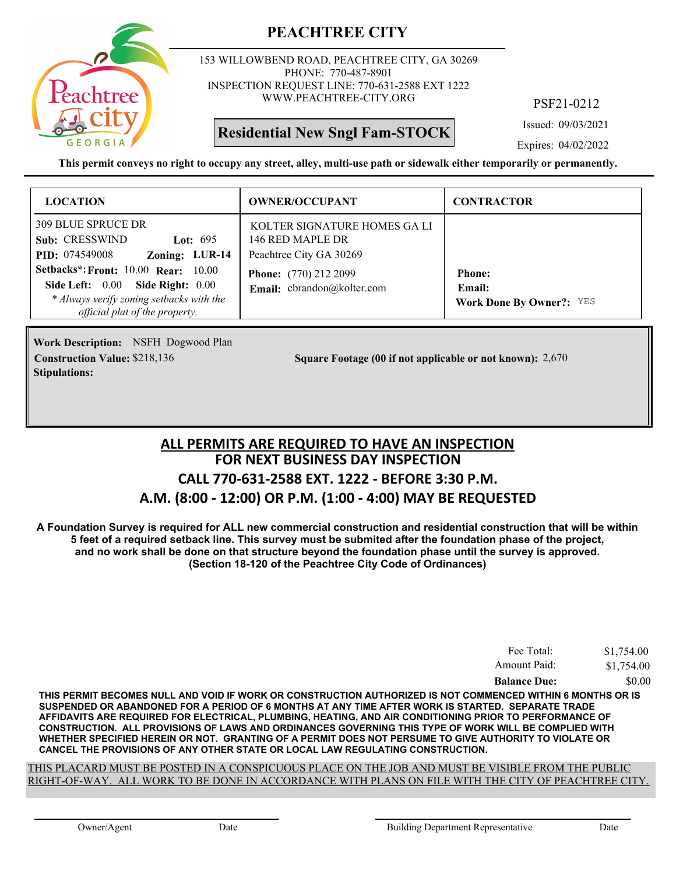

153 WILLOWBEND ROAD, PEACHTREE CITY, GA 30269 PHONE: 770-487-8901 INSPECTION REQUEST LINE: 770-631-2588 EXT 1222 WWW.PEACHTREE-CITY.ORG

# **Residential New Sngl Fam-STOCK**

PSF21-0212

Issued: 09/03/2021

Expires: 04/02/2022

**This permit conveys no right to occupy any street, alley, multi-use path or sidewalk either temporarily or permanently.**

| <b>LOCATION</b>                                                                                                                                              | <b>OWNER/OCCUPANT</b>                                                       | <b>CONTRACTOR</b>                                          |
|--------------------------------------------------------------------------------------------------------------------------------------------------------------|-----------------------------------------------------------------------------|------------------------------------------------------------|
| <b>309 BLUE SPRUCE DR</b><br>Sub: CRESSWIND<br>Lot: $695$<br>Zoning: LUR-14<br><b>PID:</b> 074549008                                                         | KOLTER SIGNATURE HOMES GA LI<br>146 RED MAPLE DR<br>Peachtree City GA 30269 |                                                            |
| <b>Setbacks*: Front: 10.00 Rear: 10.00</b><br>Side Left: 0.00 Side Right: 0.00<br>* Always verify zoning setbacks with the<br>official plat of the property. | <b>Phone:</b> (770) 212 2099<br>Email: cbrandon@kolter.com                  | <b>Phone:</b><br>Email:<br><b>Work Done By Owner?: YES</b> |

**Work Description:** NSFH Dogwood Plan **Stipulations:**

**Construction Value:** \$218,136 2,670 **Square Footage (00 if not applicable or not known):** 2,670

#### **FOR NEXT BUSINESS DAY INSPECTION CALL 770-631-2588 EXT. 1222 - BEFORE 3:30 P.M. A.M. (8:00 - 12:00) OR P.M. (1:00 - 4:00) MAY BE REQUESTED ALL PERMITS ARE REQUIRED TO HAVE AN INSPECTION**

**A Foundation Survey is required for ALL new commercial construction and residential construction that will be within 5 feet of a required setback line. This survey must be submited after the foundation phase of the project, and no work shall be done on that structure beyond the foundation phase until the survey is approved. (Section 18-120 of the Peachtree City Code of Ordinances)**

| Fee Total:          | \$1,754.00 |
|---------------------|------------|
| Amount Paid:        | \$1,754.00 |
| <b>Balance Due:</b> | \$0.00     |

**THIS PERMIT BECOMES NULL AND VOID IF WORK OR CONSTRUCTION AUTHORIZED IS NOT COMMENCED WITHIN 6 MONTHS OR IS SUSPENDED OR ABANDONED FOR A PERIOD OF 6 MONTHS AT ANY TIME AFTER WORK IS STARTED. SEPARATE TRADE AFFIDAVITS ARE REQUIRED FOR ELECTRICAL, PLUMBING, HEATING, AND AIR CONDITIONING PRIOR TO PERFORMANCE OF CONSTRUCTION. ALL PROVISIONS OF LAWS AND ORDINANCES GOVERNING THIS TYPE OF WORK WILL BE COMPLIED WITH WHETHER SPECIFIED HEREIN OR NOT. GRANTING OF A PERMIT DOES NOT PERSUME TO GIVE AUTHORITY TO VIOLATE OR CANCEL THE PROVISIONS OF ANY OTHER STATE OR LOCAL LAW REGULATING CONSTRUCTION.**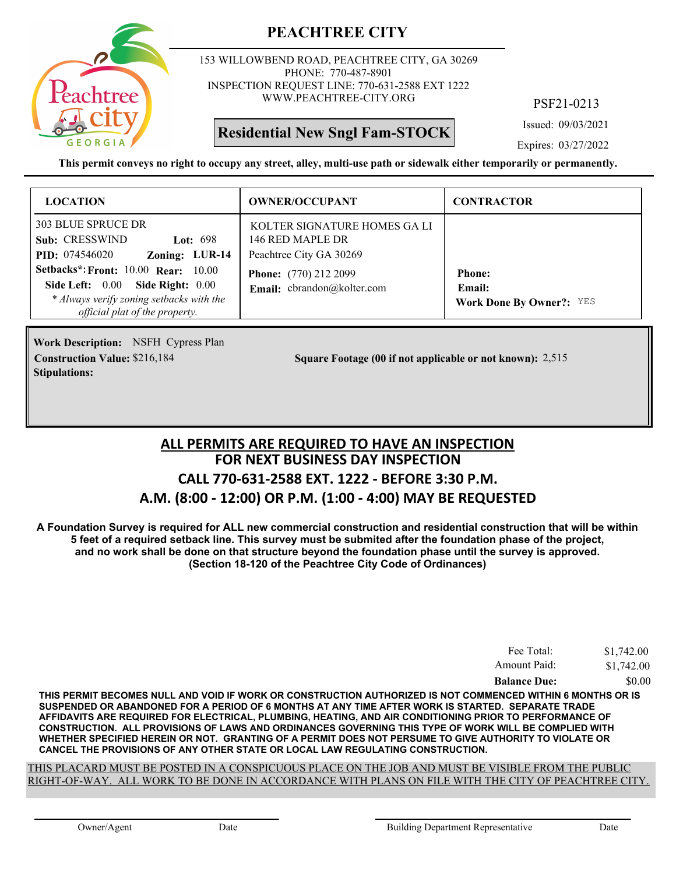

153 WILLOWBEND ROAD, PEACHTREE CITY, GA 30269 PHONE: 770-487-8901 INSPECTION REQUEST LINE: 770-631-2588 EXT 1222 WWW.PEACHTREE-CITY.ORG

**Residential New Sngl Fam-STOCK**

PSF21-0213

Issued: 09/03/2021

Expires: 03/27/2022

**This permit conveys no right to occupy any street, alley, multi-use path or sidewalk either temporarily or permanently.**

| <b>LOCATION</b>                                                                                                                                                 | <b>OWNER/OCCUPANT</b>                                                       | <b>CONTRACTOR</b>                                          |
|-----------------------------------------------------------------------------------------------------------------------------------------------------------------|-----------------------------------------------------------------------------|------------------------------------------------------------|
| 303 BLUE SPRUCE DR<br>Sub: CRESSWIND<br>Lot: $698$<br>Zoning: LUR-14<br><b>PID:</b> 074546020                                                                   | KOLTER SIGNATURE HOMES GA LI<br>146 RED MAPLE DR<br>Peachtree City GA 30269 |                                                            |
| <b>Setbacks*: Front: 10.00 Rear: 10.00</b><br>Side Left: 0.00<br>Side Right: 0.00<br>* Always verify zoning setbacks with the<br>official plat of the property. | <b>Phone:</b> (770) 212 2099<br>Email: cbrandon@kolter.com                  | <b>Phone:</b><br>Email:<br><b>Work Done By Owner?:</b> YES |

**Work Description:** NSFH Cypress Plan **Stipulations:**

**Construction Value:** \$216,184 2,515 **2,516** 2,515 2,515

#### **FOR NEXT BUSINESS DAY INSPECTION CALL 770-631-2588 EXT. 1222 - BEFORE 3:30 P.M. A.M. (8:00 - 12:00) OR P.M. (1:00 - 4:00) MAY BE REQUESTED ALL PERMITS ARE REQUIRED TO HAVE AN INSPECTION**

**A Foundation Survey is required for ALL new commercial construction and residential construction that will be within 5 feet of a required setback line. This survey must be submited after the foundation phase of the project, and no work shall be done on that structure beyond the foundation phase until the survey is approved. (Section 18-120 of the Peachtree City Code of Ordinances)**

| Fee Total:          | \$1,742.00 |
|---------------------|------------|
| Amount Paid:        | \$1,742.00 |
| <b>Balance Due:</b> | \$0.00     |

**THIS PERMIT BECOMES NULL AND VOID IF WORK OR CONSTRUCTION AUTHORIZED IS NOT COMMENCED WITHIN 6 MONTHS OR IS SUSPENDED OR ABANDONED FOR A PERIOD OF 6 MONTHS AT ANY TIME AFTER WORK IS STARTED. SEPARATE TRADE AFFIDAVITS ARE REQUIRED FOR ELECTRICAL, PLUMBING, HEATING, AND AIR CONDITIONING PRIOR TO PERFORMANCE OF CONSTRUCTION. ALL PROVISIONS OF LAWS AND ORDINANCES GOVERNING THIS TYPE OF WORK WILL BE COMPLIED WITH WHETHER SPECIFIED HEREIN OR NOT. GRANTING OF A PERMIT DOES NOT PERSUME TO GIVE AUTHORITY TO VIOLATE OR CANCEL THE PROVISIONS OF ANY OTHER STATE OR LOCAL LAW REGULATING CONSTRUCTION.**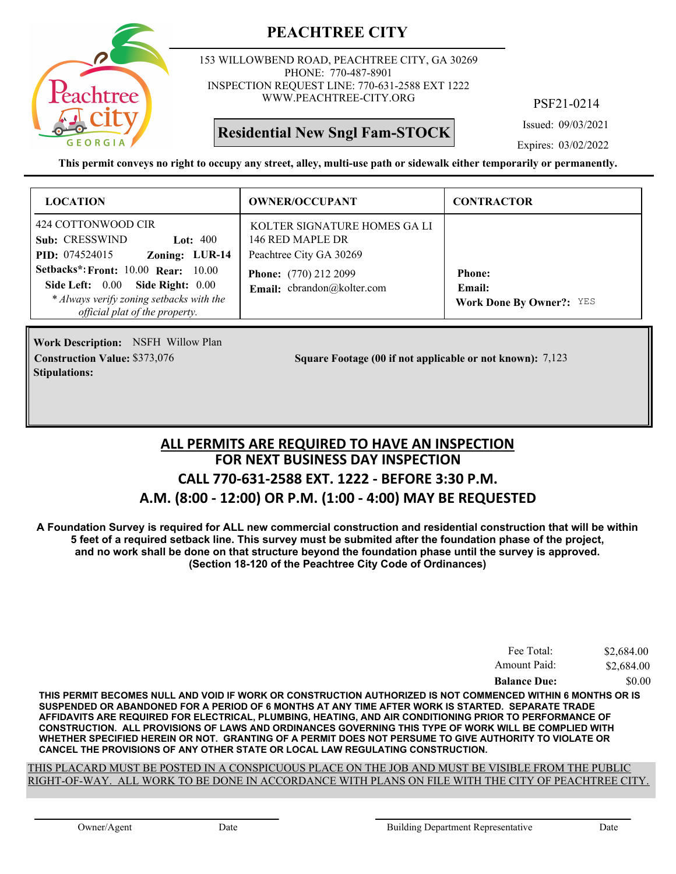

153 WILLOWBEND ROAD, PEACHTREE CITY, GA 30269 PHONE: 770-487-8901 INSPECTION REQUEST LINE: 770-631-2588 EXT 1222 WWW.PEACHTREE-CITY.ORG

# **Residential New Sngl Fam-STOCK**

PSF21-0214

Issued: 09/03/2021

Expires: 03/02/2022

**This permit conveys no right to occupy any street, alley, multi-use path or sidewalk either temporarily or permanently.**

| <b>LOCATION</b>                                                                                                                             | <b>OWNER/OCCUPANT</b>                                                                                      | <b>CONTRACTOR</b>                                |
|---------------------------------------------------------------------------------------------------------------------------------------------|------------------------------------------------------------------------------------------------------------|--------------------------------------------------|
| 424 COTTONWOOD CIR<br>Sub: CRESSWIND<br>Lot: $400$<br><b>PID:</b> 074524015<br>Zoning: LUR-14<br><b>Setbacks*: Front: 10.00 Rear: 10.00</b> | KOLTER SIGNATURE HOMES GALI<br>146 RED MAPLE DR<br>Peachtree City GA 30269<br><b>Phone:</b> (770) 212 2099 | <b>Phone:</b>                                    |
| Side Left: 0.00 Side Right: 0.00<br>* Always verify zoning setbacks with the<br>official plat of the property.                              | Email: cbrandon@kolter.com                                                                                 | <b>Email:</b><br><b>Work Done By Owner?: YES</b> |

**Work Description: NSFH Willow Plan Stipulations:**

**Construction Value:** \$373,076 **8 Square Footage (00 if not applicable or not known):** 7,123

#### **FOR NEXT BUSINESS DAY INSPECTION CALL 770-631-2588 EXT. 1222 - BEFORE 3:30 P.M. A.M. (8:00 - 12:00) OR P.M. (1:00 - 4:00) MAY BE REQUESTED ALL PERMITS ARE REQUIRED TO HAVE AN INSPECTION**

**A Foundation Survey is required for ALL new commercial construction and residential construction that will be within 5 feet of a required setback line. This survey must be submited after the foundation phase of the project, and no work shall be done on that structure beyond the foundation phase until the survey is approved. (Section 18-120 of the Peachtree City Code of Ordinances)**

| Fee Total:          | \$2,684.00 |
|---------------------|------------|
| Amount Paid:        | \$2,684.00 |
| <b>Balance Due:</b> | \$0.00     |

**THIS PERMIT BECOMES NULL AND VOID IF WORK OR CONSTRUCTION AUTHORIZED IS NOT COMMENCED WITHIN 6 MONTHS OR IS SUSPENDED OR ABANDONED FOR A PERIOD OF 6 MONTHS AT ANY TIME AFTER WORK IS STARTED. SEPARATE TRADE AFFIDAVITS ARE REQUIRED FOR ELECTRICAL, PLUMBING, HEATING, AND AIR CONDITIONING PRIOR TO PERFORMANCE OF CONSTRUCTION. ALL PROVISIONS OF LAWS AND ORDINANCES GOVERNING THIS TYPE OF WORK WILL BE COMPLIED WITH WHETHER SPECIFIED HEREIN OR NOT. GRANTING OF A PERMIT DOES NOT PERSUME TO GIVE AUTHORITY TO VIOLATE OR CANCEL THE PROVISIONS OF ANY OTHER STATE OR LOCAL LAW REGULATING CONSTRUCTION.**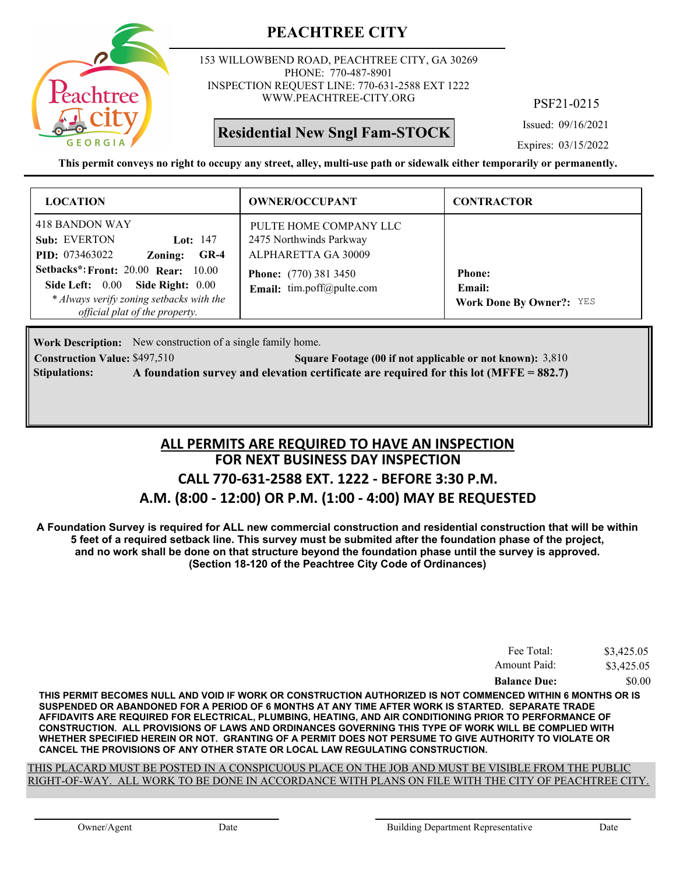

153 WILLOWBEND ROAD, PEACHTREE CITY, GA 30269 PHONE: 770-487-8901 INSPECTION REQUEST LINE: 770-631-2588 EXT 1222 WWW.PEACHTREE-CITY.ORG

# **Residential New Sngl Fam-STOCK**

PSF21-0215

Issued: 09/16/2021

Expires: 03/15/2022

**This permit conveys no right to occupy any street, alley, multi-use path or sidewalk either temporarily or permanently.**

| <b>LOCATION</b>                                                                                                                                                                                                                                                   | <b>OWNER/OCCUPANT</b>                                                                                                                 | <b>CONTRACTOR</b>                                          |
|-------------------------------------------------------------------------------------------------------------------------------------------------------------------------------------------------------------------------------------------------------------------|---------------------------------------------------------------------------------------------------------------------------------------|------------------------------------------------------------|
| 418 BANDON WAY<br><b>Sub: EVERTON</b><br>Lot: $147$<br><b>PID:</b> 073463022<br>$GR-4$<br>Zoning:<br><b>Setbacks*: Front: 20.00 Rear: 10.00</b><br>Side Left: 0.00 Side Right: 0.00<br>* Always verify zoning setbacks with the<br>official plat of the property. | PULTE HOME COMPANY LLC<br>2475 Northwinds Parkway<br>ALPHARETTA GA 30009<br><b>Phone:</b> (770) 381 3450<br>Email: tim.poff@pulte.com | <b>Phone:</b><br>Email:<br><b>Work Done By Owner?: YES</b> |

Work Description: New construction of a single family home.

**Construction Value:** \$497,510 **Square Footage (00 if not applicable or not known):** 3,810 **Stipulations: A foundation survey and elevation certificate are required for this lot (MFFE = 882.7)**

#### **FOR NEXT BUSINESS DAY INSPECTION CALL 770-631-2588 EXT. 1222 - BEFORE 3:30 P.M. A.M. (8:00 - 12:00) OR P.M. (1:00 - 4:00) MAY BE REQUESTED ALL PERMITS ARE REQUIRED TO HAVE AN INSPECTION**

**A Foundation Survey is required for ALL new commercial construction and residential construction that will be within 5 feet of a required setback line. This survey must be submited after the foundation phase of the project, and no work shall be done on that structure beyond the foundation phase until the survey is approved. (Section 18-120 of the Peachtree City Code of Ordinances)**

| Fee Total:          | \$3,425.05 |
|---------------------|------------|
| Amount Paid:        | \$3,425.05 |
| <b>Balance Due:</b> | \$0.00     |

**THIS PERMIT BECOMES NULL AND VOID IF WORK OR CONSTRUCTION AUTHORIZED IS NOT COMMENCED WITHIN 6 MONTHS OR IS SUSPENDED OR ABANDONED FOR A PERIOD OF 6 MONTHS AT ANY TIME AFTER WORK IS STARTED. SEPARATE TRADE AFFIDAVITS ARE REQUIRED FOR ELECTRICAL, PLUMBING, HEATING, AND AIR CONDITIONING PRIOR TO PERFORMANCE OF CONSTRUCTION. ALL PROVISIONS OF LAWS AND ORDINANCES GOVERNING THIS TYPE OF WORK WILL BE COMPLIED WITH WHETHER SPECIFIED HEREIN OR NOT. GRANTING OF A PERMIT DOES NOT PERSUME TO GIVE AUTHORITY TO VIOLATE OR CANCEL THE PROVISIONS OF ANY OTHER STATE OR LOCAL LAW REGULATING CONSTRUCTION.**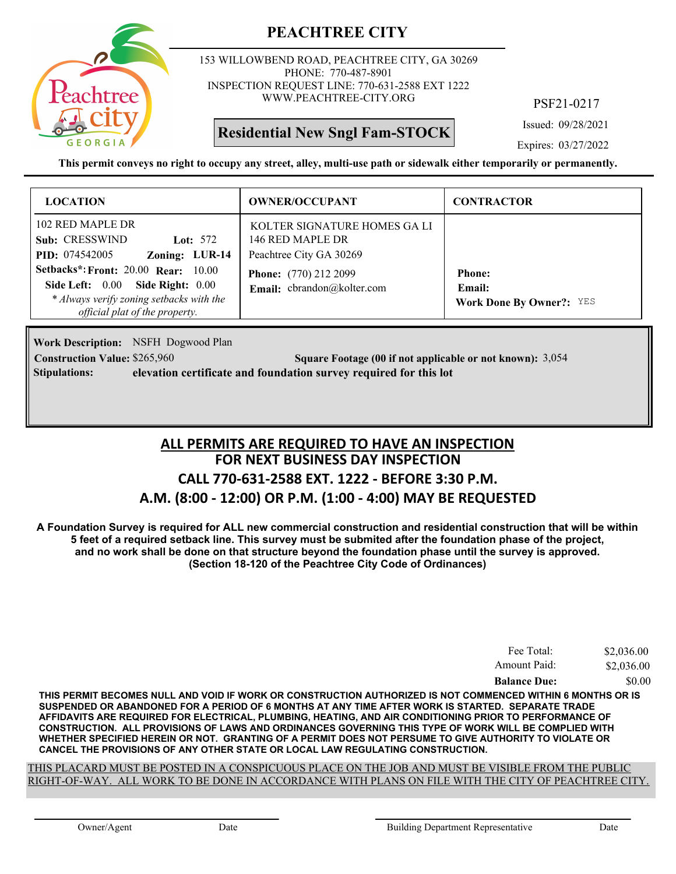

153 WILLOWBEND ROAD, PEACHTREE CITY, GA 30269 PHONE: 770-487-8901 INSPECTION REQUEST LINE: 770-631-2588 EXT 1222 WWW.PEACHTREE-CITY.ORG

# **Residential New Sngl Fam-STOCK**

PSF21-0217

Issued: 09/28/2021

Expires: 03/27/2022

**This permit conveys no right to occupy any street, alley, multi-use path or sidewalk either temporarily or permanently.**

| <b>LOCATION</b>                                                                                                                                       | <b>OWNER/OCCUPANT</b>                                                      | <b>CONTRACTOR</b>                                          |
|-------------------------------------------------------------------------------------------------------------------------------------------------------|----------------------------------------------------------------------------|------------------------------------------------------------|
| 102 RED MAPLE DR<br>Sub: CRESSWIND<br>Lot: $572$<br>Zoning: LUR-14<br><b>PID:</b> 074542005                                                           | KOLTER SIGNATURE HOMES GALI<br>146 RED MAPLE DR<br>Peachtree City GA 30269 |                                                            |
| Setbacks*: Front: 20.00 Rear: 10.00<br>Side Left: 0.00 Side Right: 0.00<br>* Always verify zoning setbacks with the<br>official plat of the property. | <b>Phone:</b> (770) 212 2099<br>Email: cbrandon@kolter.com                 | <b>Phone:</b><br>Email:<br><b>Work Done By Owner?:</b> YES |

**Work Description:** NSFH Dogwood Plan **Construction Value:** \$265,960 3,054 **Square Footage (00 if not applicable or not known):** 3,054 **Stipulations: elevation certificate and foundation survey required for this lot**

# **FOR NEXT BUSINESS DAY INSPECTION CALL 770-631-2588 EXT. 1222 - BEFORE 3:30 P.M. A.M. (8:00 - 12:00) OR P.M. (1:00 - 4:00) MAY BE REQUESTED ALL PERMITS ARE REQUIRED TO HAVE AN INSPECTION**

**A Foundation Survey is required for ALL new commercial construction and residential construction that will be within 5 feet of a required setback line. This survey must be submited after the foundation phase of the project, and no work shall be done on that structure beyond the foundation phase until the survey is approved. (Section 18-120 of the Peachtree City Code of Ordinances)**

| Fee Total:          | \$2,036.00 |
|---------------------|------------|
| Amount Paid:        | \$2,036.00 |
| <b>Balance Due:</b> | \$0.00     |

**THIS PERMIT BECOMES NULL AND VOID IF WORK OR CONSTRUCTION AUTHORIZED IS NOT COMMENCED WITHIN 6 MONTHS OR IS SUSPENDED OR ABANDONED FOR A PERIOD OF 6 MONTHS AT ANY TIME AFTER WORK IS STARTED. SEPARATE TRADE AFFIDAVITS ARE REQUIRED FOR ELECTRICAL, PLUMBING, HEATING, AND AIR CONDITIONING PRIOR TO PERFORMANCE OF CONSTRUCTION. ALL PROVISIONS OF LAWS AND ORDINANCES GOVERNING THIS TYPE OF WORK WILL BE COMPLIED WITH WHETHER SPECIFIED HEREIN OR NOT. GRANTING OF A PERMIT DOES NOT PERSUME TO GIVE AUTHORITY TO VIOLATE OR CANCEL THE PROVISIONS OF ANY OTHER STATE OR LOCAL LAW REGULATING CONSTRUCTION.**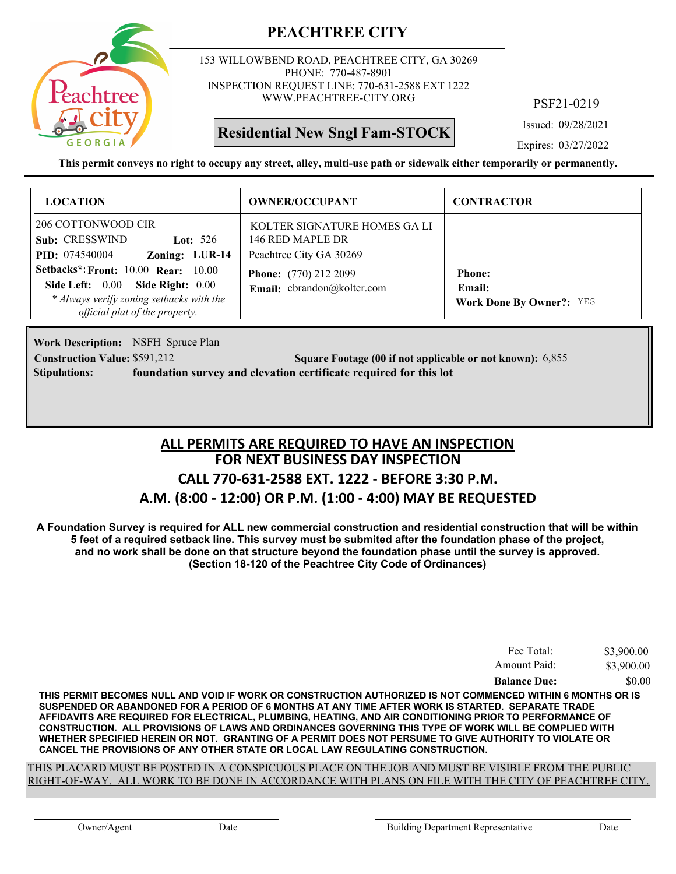

153 WILLOWBEND ROAD, PEACHTREE CITY, GA 30269 PHONE: 770-487-8901 INSPECTION REQUEST LINE: 770-631-2588 EXT 1222 WWW.PEACHTREE-CITY.ORG

**Residential New Sngl Fam-STOCK**

PSF21-0219

Issued: 09/28/2021

Expires: 03/27/2022

**This permit conveys no right to occupy any street, alley, multi-use path or sidewalk either temporarily or permanently.**

| <b>LOCATION</b>                                                                                                                                       | <b>OWNER/OCCUPANT</b>                                                      | <b>CONTRACTOR</b>                                                 |
|-------------------------------------------------------------------------------------------------------------------------------------------------------|----------------------------------------------------------------------------|-------------------------------------------------------------------|
| 206 COTTONWOOD CIR<br>Sub: CRESSWIND<br>Lot: $526$<br>Zoning: LUR-14<br><b>PID:</b> 074540004                                                         | KOLTER SIGNATURE HOMES GALI<br>146 RED MAPLE DR<br>Peachtree City GA 30269 |                                                                   |
| Setbacks*: Front: 10.00 Rear: 10.00<br>Side Left: 0.00 Side Right: 0.00<br>* Always verify zoning setbacks with the<br>official plat of the property. | <b>Phone:</b> (770) 212 2099<br>Email: cbrandon@kolter.com                 | <b>Phone:</b><br><b>Email:</b><br><b>Work Done By Owner?: YES</b> |

**Work Description:** NSFH Spruce Plan **Construction Value:** \$591,212 **Square Footage (00 if not applicable or not known):** 6,855 **Stipulations: foundation survey and elevation certificate required for this lot**

# **FOR NEXT BUSINESS DAY INSPECTION CALL 770-631-2588 EXT. 1222 - BEFORE 3:30 P.M. A.M. (8:00 - 12:00) OR P.M. (1:00 - 4:00) MAY BE REQUESTED ALL PERMITS ARE REQUIRED TO HAVE AN INSPECTION**

**A Foundation Survey is required for ALL new commercial construction and residential construction that will be within 5 feet of a required setback line. This survey must be submited after the foundation phase of the project, and no work shall be done on that structure beyond the foundation phase until the survey is approved. (Section 18-120 of the Peachtree City Code of Ordinances)**

| Fee Total:          | \$3,900.00 |
|---------------------|------------|
| Amount Paid:        | \$3,900.00 |
| <b>Balance Due:</b> | \$0.00     |

**THIS PERMIT BECOMES NULL AND VOID IF WORK OR CONSTRUCTION AUTHORIZED IS NOT COMMENCED WITHIN 6 MONTHS OR IS SUSPENDED OR ABANDONED FOR A PERIOD OF 6 MONTHS AT ANY TIME AFTER WORK IS STARTED. SEPARATE TRADE AFFIDAVITS ARE REQUIRED FOR ELECTRICAL, PLUMBING, HEATING, AND AIR CONDITIONING PRIOR TO PERFORMANCE OF CONSTRUCTION. ALL PROVISIONS OF LAWS AND ORDINANCES GOVERNING THIS TYPE OF WORK WILL BE COMPLIED WITH WHETHER SPECIFIED HEREIN OR NOT. GRANTING OF A PERMIT DOES NOT PERSUME TO GIVE AUTHORITY TO VIOLATE OR CANCEL THE PROVISIONS OF ANY OTHER STATE OR LOCAL LAW REGULATING CONSTRUCTION.**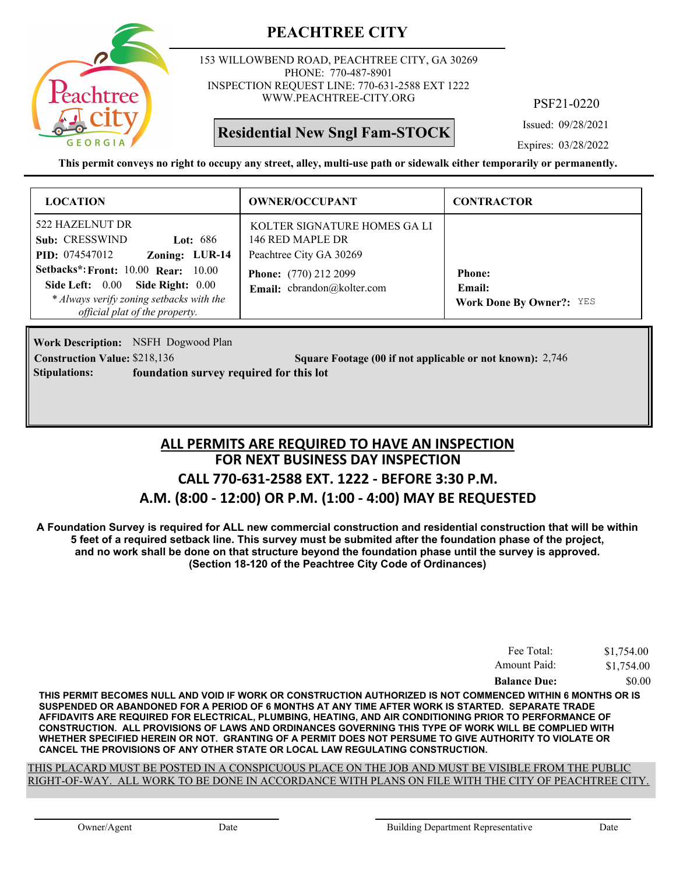

153 WILLOWBEND ROAD, PEACHTREE CITY, GA 30269 PHONE: 770-487-8901 INSPECTION REQUEST LINE: 770-631-2588 EXT 1222 WWW.PEACHTREE-CITY.ORG

**Residential New Sngl Fam-STOCK**

PSF21-0220

Issued: 09/28/2021

Expires: 03/28/2022

**This permit conveys no right to occupy any street, alley, multi-use path or sidewalk either temporarily or permanently.**

| <b>LOCATION</b>                                                                                                                                              | <b>OWNER/OCCUPANT</b>                                                       | <b>CONTRACTOR</b>                                                 |
|--------------------------------------------------------------------------------------------------------------------------------------------------------------|-----------------------------------------------------------------------------|-------------------------------------------------------------------|
| 522 HAZELNUT DR<br>Sub: CRESSWIND<br>Lot: $686$<br>Zoning: LUR-14<br><b>PID:</b> 074547012                                                                   | KOLTER SIGNATURE HOMES GA LI<br>146 RED MAPLE DR<br>Peachtree City GA 30269 |                                                                   |
| <b>Setbacks*: Front: 10.00 Rear: 10.00</b><br>Side Left: 0.00 Side Right: 0.00<br>* Always verify zoning setbacks with the<br>official plat of the property. | <b>Phone:</b> (770) 212 2099<br>Email: cbrandon@kolter.com                  | <b>Phone:</b><br><b>Email:</b><br><b>Work Done By Owner?:</b> YES |

**Work Description:** NSFH Dogwood Plan **Stipulations: foundation survey required for this lot**

**Construction Value:** \$218,136 2,746 2,746 2,746 2,746 2,746 2,746 2,746 2,746 2,746 2,746 2,746 2,746 2,746 2,746

**FOR NEXT BUSINESS DAY INSPECTION CALL 770-631-2588 EXT. 1222 - BEFORE 3:30 P.M. ALL PERMITS ARE REQUIRED TO HAVE AN INSPECTION**

# **A.M. (8:00 - 12:00) OR P.M. (1:00 - 4:00) MAY BE REQUESTED**

**A Foundation Survey is required for ALL new commercial construction and residential construction that will be within 5 feet of a required setback line. This survey must be submited after the foundation phase of the project, and no work shall be done on that structure beyond the foundation phase until the survey is approved. (Section 18-120 of the Peachtree City Code of Ordinances)**

| Fee Total:          | \$1,754.00 |
|---------------------|------------|
| Amount Paid:        | \$1,754.00 |
| <b>Balance Due:</b> | \$0.00     |

**THIS PERMIT BECOMES NULL AND VOID IF WORK OR CONSTRUCTION AUTHORIZED IS NOT COMMENCED WITHIN 6 MONTHS OR IS SUSPENDED OR ABANDONED FOR A PERIOD OF 6 MONTHS AT ANY TIME AFTER WORK IS STARTED. SEPARATE TRADE AFFIDAVITS ARE REQUIRED FOR ELECTRICAL, PLUMBING, HEATING, AND AIR CONDITIONING PRIOR TO PERFORMANCE OF CONSTRUCTION. ALL PROVISIONS OF LAWS AND ORDINANCES GOVERNING THIS TYPE OF WORK WILL BE COMPLIED WITH WHETHER SPECIFIED HEREIN OR NOT. GRANTING OF A PERMIT DOES NOT PERSUME TO GIVE AUTHORITY TO VIOLATE OR CANCEL THE PROVISIONS OF ANY OTHER STATE OR LOCAL LAW REGULATING CONSTRUCTION.**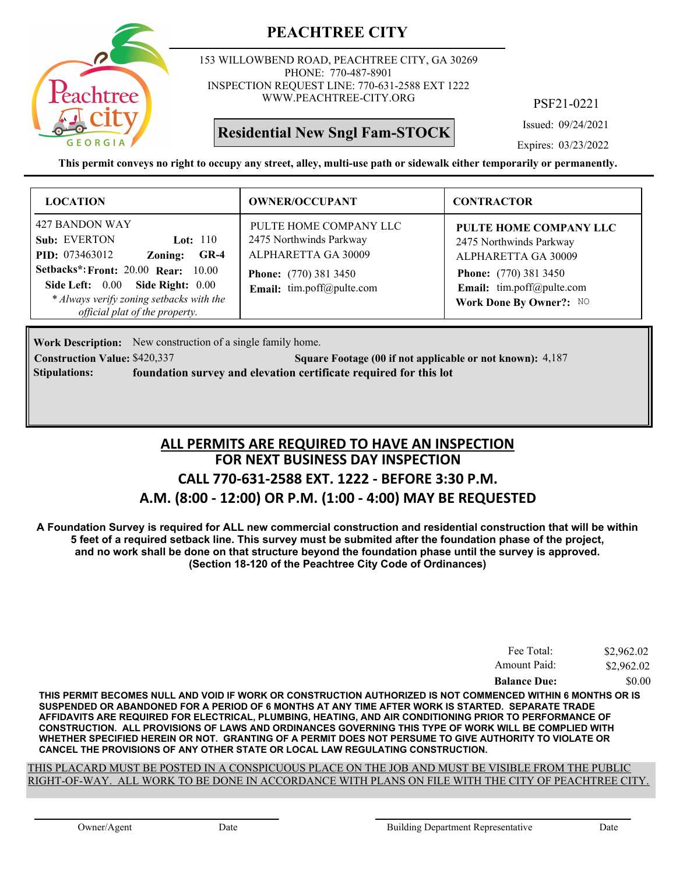

153 WILLOWBEND ROAD, PEACHTREE CITY, GA 30269 PHONE: 770-487-8901 INSPECTION REQUEST LINE: 770-631-2588 EXT 1222 WWW.PEACHTREE-CITY.ORG

# **Residential New Sngl Fam-STOCK**

PSF21-0221

Issued: 09/24/2021

Expires: 03/23/2022

**This permit conveys no right to occupy any street, alley, multi-use path or sidewalk either temporarily or permanently.**

| <b>LOCATION</b>                                                                                                                                                                                                                                            | <b>OWNER/OCCUPANT</b>                                                                                                                 | <b>CONTRACTOR</b>                                                                                                                                                |
|------------------------------------------------------------------------------------------------------------------------------------------------------------------------------------------------------------------------------------------------------------|---------------------------------------------------------------------------------------------------------------------------------------|------------------------------------------------------------------------------------------------------------------------------------------------------------------|
| 427 BANDON WAY<br>Sub: EVERTON<br>Lot: $110$<br><b>PID:</b> 073463012<br>$GR-4$<br>Zoning:<br><b>Setbacks*: Front: 20.00 Rear: 10.00</b><br>Side Left: 0.00 Side Right: 0.00<br>* Always verify zoning setbacks with the<br>official plat of the property. | PULTE HOME COMPANY LLC<br>2475 Northwinds Parkway<br>ALPHARETTA GA 30009<br><b>Phone:</b> (770) 381 3450<br>Email: tim.poff@pulte.com | PULTE HOME COMPANY LLC<br>2475 Northwinds Parkway<br>ALPHARETTA GA 30009<br><b>Phone:</b> (770) 381 3450<br>Email: tim.poff@pulte.com<br>Work Done By Owner?: NO |

Work Description: New construction of a single family home.

**Construction Value: \$420,337 500 Square Footage (00 if not applicable or not known): 4,187 Stipulations: foundation survey and elevation certificate required for this lot**

# **FOR NEXT BUSINESS DAY INSPECTION CALL 770-631-2588 EXT. 1222 - BEFORE 3:30 P.M. A.M. (8:00 - 12:00) OR P.M. (1:00 - 4:00) MAY BE REQUESTED ALL PERMITS ARE REQUIRED TO HAVE AN INSPECTION**

**A Foundation Survey is required for ALL new commercial construction and residential construction that will be within 5 feet of a required setback line. This survey must be submited after the foundation phase of the project, and no work shall be done on that structure beyond the foundation phase until the survey is approved. (Section 18-120 of the Peachtree City Code of Ordinances)**

| Fee Total:          | \$2,962.02 |
|---------------------|------------|
| Amount Paid:        | \$2,962.02 |
| <b>Balance Due:</b> | \$0.00     |

**THIS PERMIT BECOMES NULL AND VOID IF WORK OR CONSTRUCTION AUTHORIZED IS NOT COMMENCED WITHIN 6 MONTHS OR IS SUSPENDED OR ABANDONED FOR A PERIOD OF 6 MONTHS AT ANY TIME AFTER WORK IS STARTED. SEPARATE TRADE AFFIDAVITS ARE REQUIRED FOR ELECTRICAL, PLUMBING, HEATING, AND AIR CONDITIONING PRIOR TO PERFORMANCE OF CONSTRUCTION. ALL PROVISIONS OF LAWS AND ORDINANCES GOVERNING THIS TYPE OF WORK WILL BE COMPLIED WITH WHETHER SPECIFIED HEREIN OR NOT. GRANTING OF A PERMIT DOES NOT PERSUME TO GIVE AUTHORITY TO VIOLATE OR CANCEL THE PROVISIONS OF ANY OTHER STATE OR LOCAL LAW REGULATING CONSTRUCTION.**